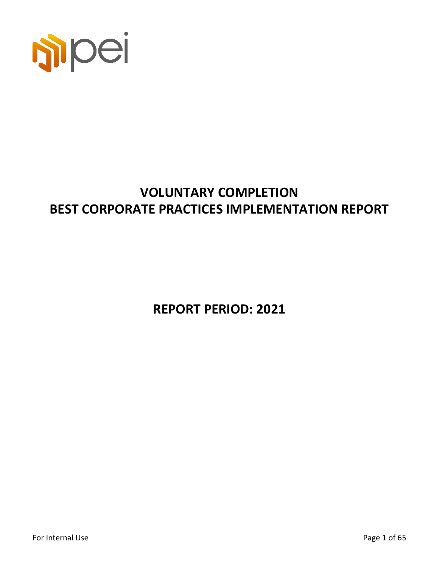

# **VOLUNTARY COMPLETION BEST CORPORATE PRACTICES IMPLEMENTATION REPORT**

**REPORT PERIOD: 2021**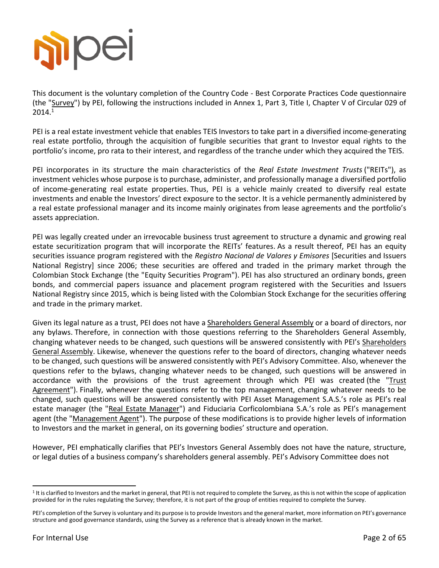

This document is the voluntary completion of the Country Code - Best Corporate Practices Code questionnaire (the "Survey") by PEI, following the instructions included in Annex 1, Part 3, Title I, Chapter V of Circular 029 of  $2014<sup>1</sup>$ 

PEI is a real estate investment vehicle that enables TEIS Investors to take part in a diversified income-generating real estate portfolio, through the acquisition of fungible securities that grant to Investor equal rights to the portfolio's income, pro rata to their interest, and regardless of the tranche under which they acquired the TEIS.

PEI incorporates in its structure the main characteristics of the *Real Estate Investment Trusts* ("REITs"), as investment vehicles whose purpose is to purchase, administer, and professionally manage a diversified portfolio of income-generating real estate properties. Thus, PEI is a vehicle mainly created to diversify real estate investments and enable the Investors' direct exposure to the sector. It is a vehicle permanently administered by a real estate professional manager and its income mainly originates from lease agreements and the portfolio's assets appreciation.

PEI was legally created under an irrevocable business trust agreement to structure a dynamic and growing real estate securitization program that will incorporate the REITs' features. As a result thereof, PEI has an equity securities issuance program registered with the *Registro Nacional de Valores y Emisores* [Securities and Issuers National Registry] since 2006; these securities are offered and traded in the primary market through the Colombian Stock Exchange (the "Equity Securities Program"). PEI has also structured an ordinary bonds, green bonds, and commercial papers issuance and placement program registered with the Securities and Issuers National Registry since 2015, which is being listed with the Colombian Stock Exchange for the securities offering and trade in the primary market.

Given its legal nature as a trust, PEI does not have a Shareholders General Assembly or a board of directors, nor any bylaws. Therefore, in connection with those questions referring to the Shareholders General Assembly, changing whatever needs to be changed, such questions will be answered consistently with PEI's Shareholders General Assembly. Likewise, whenever the questions refer to the board of directors, changing whatever needs to be changed, such questions will be answered consistently with PEI's Advisory Committee. Also, whenever the questions refer to the bylaws, changing whatever needs to be changed, such questions will be answered in accordance with the provisions of the trust agreement through which PEI was created (the "Trust Agreement"). Finally, whenever the questions refer to the top management, changing whatever needs to be changed, such questions will be answered consistently with PEI Asset Management S.A.S.'s role as PEI's real estate manager (the "Real Estate Manager") and Fiduciaria Corficolombiana S.A.'s role as PEI's management agent (the "Management Agent"). The purpose of these modifications is to provide higher levels of information to Investors and the market in general, on its governing bodies' structure and operation.

However, PEI emphatically clarifies that PEI's Investors General Assembly does not have the nature, structure, or legal duties of a business company's shareholders general assembly. PEI's Advisory Committee does not

<sup>&</sup>lt;sup>1</sup> It is clarified to Investors and the market in general, that PEI is not required to complete the Survey, as this is not within the scope of application provided for in the rules regulating the Survey; therefore, it is not part of the group of entities required to complete the Survey.

PEI's completion of the Survey is voluntary and its purpose is to provide Investors and the general market, more information on PEI's governance structure and good governance standards, using the Survey as a reference that is already known in the market.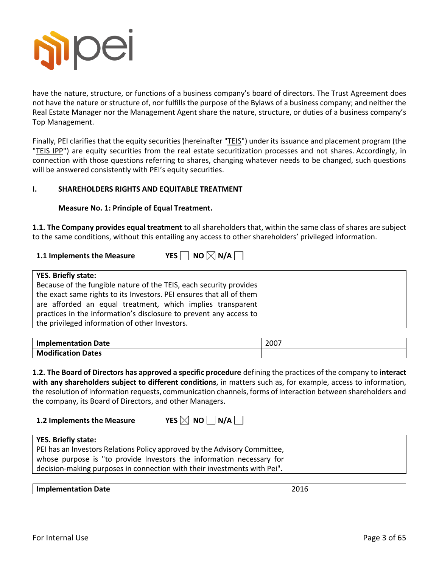

have the nature, structure, or functions of a business company's board of directors. The Trust Agreement does not have the nature or structure of, nor fulfills the purpose of the Bylaws of a business company; and neither the Real Estate Manager nor the Management Agent share the nature, structure, or duties of a business company's Top Management.

Finally, PEI clarifies that the equity securities (hereinafter "TEIS") under its issuance and placement program (the "TEIS IPP") are equity securities from the real estate securitization processes and not shares. Accordingly, in connection with those questions referring to shares, changing whatever needs to be changed, such questions will be answered consistently with PEI's equity securities.

#### **I. SHAREHOLDERS RIGHTS AND EQUITABLE TREATMENT**

#### **Measure No. 1: Principle of Equal Treatment.**

**1.1. The Company provides equal treatment** to all shareholders that, within the same class of shares are subject to the same conditions, without this entailing any access to other shareholders' privileged information.

# **1.1 Implements the Measure**  $YES \cap NO \times N/A$

### **YES. Briefly state:** Because of the fungible nature of the TEIS, each security provides

the exact same rights to its Investors. PEI ensures that all of them are afforded an equal treatment, which implies transparent practices in the information's disclosure to prevent any access to the privileged information of other Investors.

| <b>Implementation Date</b> | 2007 |
|----------------------------|------|
| <b>Modification Dates</b>  |      |

**1.2. The Board of Directors has approved a specific procedure** defining the practices of the company to **interact with any shareholders subject to different conditions**, in matters such as, for example, access to information, the resolution of information requests, communication channels, forms of interaction between shareholders and the company, its Board of Directors, and other Managers.

**1.2 Implements the Measure 6 MPL YES** 

| IXL.<br>:S | NΟ | $\overline{\mathsf{N}}$ N/A |  |
|------------|----|-----------------------------|--|
|            |    |                             |  |

# **YES. Briefly state:**

PEI has an Investors Relations Policy approved by the Advisory Committee, whose purpose is "to provide Investors the information necessary for decision-making purposes in connection with their investments with Pei".

#### **Implementation Date** 2016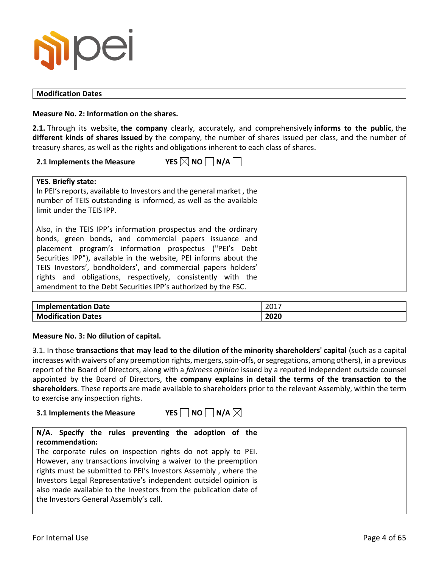

#### **Modification Dates**

**Measure No. 2: Information on the shares.**

**2.1.** Through its website, **the company** clearly, accurately, and comprehensively **informs to the public**, the **different kinds of shares issued** by the company, the number of shares issued per class, and the number of treasury shares, as well as the rights and obligations inherent to each class of shares.

#### **2.1 Implements the Measure YES**  $\boxtimes$  NO  $\Box$  N/A  $\Box$

# **YES. Briefly state:**

In PEI's reports, available to Investors and the general market , the number of TEIS outstanding is informed, as well as the available limit under the TEIS IPP.

Also, in the TEIS IPP's information prospectus and the ordinary bonds, green bonds, and commercial papers issuance and placement program's information prospectus ("PEI's Debt Securities IPP"), available in the website, PEI informs about the TEIS Investors', bondholders', and commercial papers holders' rights and obligations, respectively, consistently with the amendment to the Debt Securities IPP's authorized by the FSC.

| <b>Implementation Date</b> | 2017 |
|----------------------------|------|
| <b>Modification Dates</b>  | 2020 |

#### **Measure No. 3: No dilution of capital.**

3.1. In those **transactions that may lead to the dilution of the minority shareholders' capital** (such as a capital increases with waivers of any preemption rights, mergers, spin-offs, or segregations, among others), in a previous report of the Board of Directors, along with a *fairness opinion* issued by a reputed independent outside counsel appointed by the Board of Directors, **the company explains in detail the terms of the transaction to the shareholders**. These reports are made available to shareholders prior to the relevant Assembly, within the term to exercise any inspection rights.

#### **3.1 Implements the Measure YES NO N/A**  $\boxtimes$

#### **N/A. Specify the rules preventing the adoption of the recommendation:**

The corporate rules on inspection rights do not apply to PEI. However, any transactions involving a waiver to the preemption rights must be submitted to PEI's Investors Assembly , where the Investors Legal Representative's independent outsidel opinion is also made available to the Investors from the publication date of the Investors General Assembly's call.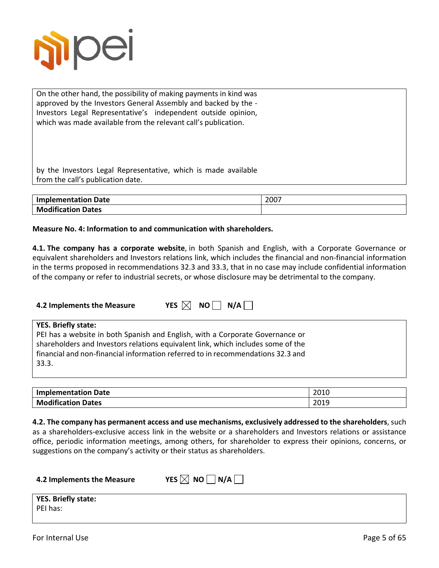

On the other hand, the possibility of making payments in kind was approved by the Investors General Assembly and backed by the - Investors Legal Representative's independent outside opinion, which was made available from the relevant call's publication.

by the Investors Legal Representative, which is made available from the call's publication date.

| <b>Implementation Date</b> | 2007 |
|----------------------------|------|
| <b>Modification Dates</b>  |      |

#### **Measure No. 4: Information to and communication with shareholders.**

**4.1. The company has a corporate website**, in both Spanish and English, with a Corporate Governance or equivalent shareholders and Investors relations link, which includes the financial and non-financial information in the terms proposed in recommendations 32.3 and 33.3, that in no case may include confidential information of the company or refer to industrial secrets, or whose disclosure may be detrimental to the company.

| 4.2 Implements the Measure          | YES $\boxtimes$ NO $\parallel$ N/A $\parallel$                                                                                                                                                                                                       |
|-------------------------------------|------------------------------------------------------------------------------------------------------------------------------------------------------------------------------------------------------------------------------------------------------|
| <b>YES. Briefly state:</b><br>33.3. | PEI has a website in both Spanish and English, with a Corporate Governance or<br>shareholders and Investors relations equivalent link, which includes some of the<br>financial and non-financial information referred to in recommendations 32.3 and |

| <b>Implementation Date</b> | 2010<br>∠∪⊥∪ |
|----------------------------|--------------|
| <b>Modification Dates</b>  | 2019         |

**4.2. The company has permanent access and use mechanisms, exclusively addressed to the shareholders**, such as a shareholders-exclusive access link in the website or a shareholders and Investors relations or assistance office, periodic information meetings, among others, for shareholder to express their opinions, concerns, or suggestions on the company's activity or their status as shareholders.

| 4.2 Implements the Measure | YES $\boxtimes$ NO $\Box$ N/A $\Box$ |
|----------------------------|--------------------------------------|
|                            |                                      |

| <b>YES. Briefly state:</b> |  |  |
|----------------------------|--|--|
| PEI has:                   |  |  |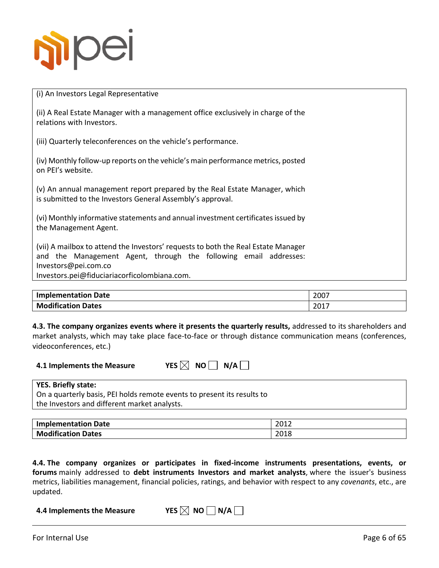

(i) An Investors Legal Representative

(ii) A Real Estate Manager with a management office exclusively in charge of the relations with Investors.

(iii) Quarterly teleconferences on the vehicle's performance.

(iv) Monthly follow-up reports on the vehicle's main performance metrics, posted on PEI's website.

(v) An annual management report prepared by the Real Estate Manager, which is submitted to the Investors General Assembly's approval.

(vi) Monthly informative statements and annual investment certificates issued by the Management Agent.

(vii) A mailbox to attend the Investors' requests to both the Real Estate Manager and the Management Agent, through the following email addresses: Investors@pei.com.co

Investors.pei@fiduciariacorficolombiana.com.

| <b>Implementation Date</b> | 2007  |
|----------------------------|-------|
| <b>Modification Dates</b>  | -2017 |

**4.3. The company organizes events where it presents the quarterly results,** addressed to its shareholders and market analysts, which may take place face-to-face or through distance communication means (conferences, videoconferences, etc.)

**YES**  $\boxtimes$  **NO**  $\Box$  **N/A** $\Box$ 

|  | 4.1 Implements the Measure |  |
|--|----------------------------|--|
|--|----------------------------|--|

#### **YES. Briefly state:**

On a quarterly basis, PEI holds remote events to present its results to the Investors and different market analysts.

| <b>Implementation Date</b> | 2012         |
|----------------------------|--------------|
| <b>Modification Dates</b>  | 2010<br>2018 |

**4.4. The company organizes or participates in fixed-income instruments presentations, events, or forums** mainly addressed to **debt instruments Investors and market analysts**, where the issuer's business metrics, liabilities management, financial policies, ratings, and behavior with respect to any *covenants*, etc., are updated.

**4.4 Implements the Measure YES**  $\boxtimes$  **NO**  $\Box$  **N/A** $\Box$ 

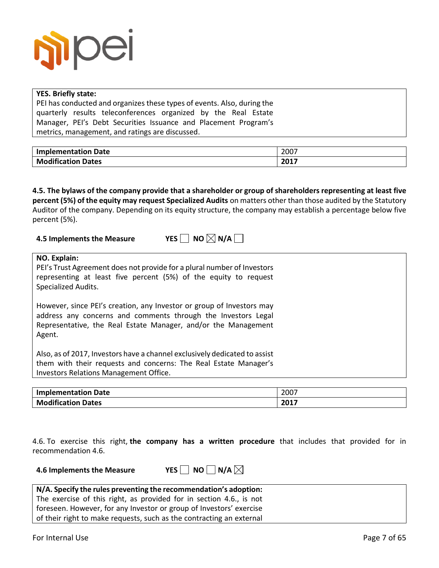

#### **YES. Briefly state:**

PEI has conducted and organizes these types of events. Also, during the quarterly results teleconferences organized by the Real Estate Manager, PEI's Debt Securities Issuance and Placement Program's metrics, management, and ratings are discussed.

| <b>Implementation Date</b> | 2007   |
|----------------------------|--------|
| <b>Modification</b>        | $2017$ |
| <b>Dates</b>               | ZUI7   |

**4.5. The bylaws of the company provide that a shareholder or group of shareholders representing at least five percent (5%) of the equity may request Specialized Audits** on matters other than those audited by the Statutory Auditor of the company. Depending on its equity structure, the company may establish a percentage below five percent (5%).

**4.5 Implements the Measure YES NO**  $\boxtimes$  **N/A** 

| NO. Explain:                                                                                   |
|------------------------------------------------------------------------------------------------|
| PEI's Trust Agreement does not provide for a plural number of Investors                        |
| representing at least five percent (5%) of the equity to request<br><b>Specialized Audits.</b> |
|                                                                                                |
| However, since PEI's creation, any Investor or group of Investors may                          |
| address any concerns and comments through the Investors Legal                                  |
| Representative, the Real Estate Manager, and/or the Management                                 |
| Agent.                                                                                         |
| Also, as of 2017, Investors have a channel exclusively dedicated to assist                     |
| them with their requests and concerns: The Real Estate Manager's                               |
| Investors Relations Management Office.                                                         |
|                                                                                                |

| <b>Implementation Date</b> | 2007 |
|----------------------------|------|
| <b>Modification Dates</b>  | 2017 |

4.6. To exercise this right, **the company has a written procedure** that includes that provided for in recommendation 4.6.

**4.6 Implements the Measure**  $YES \Box NO \Box N/A \boxtimes$ 

| N/A. Specify the rules preventing the recommendation's adoption:     |
|----------------------------------------------------------------------|
| The exercise of this right, as provided for in section 4.6., is not  |
| foreseen. However, for any Investor or group of Investors' exercise  |
| of their right to make requests, such as the contracting an external |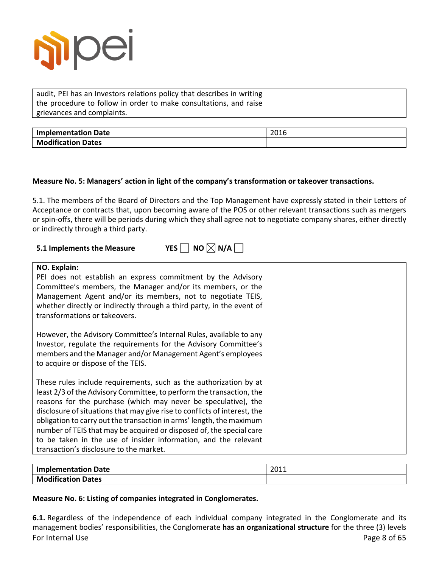

audit, PEI has an Investors relations policy that describes in writing the procedure to follow in order to make consultations, and raise grievances and complaints.

| <b>Implementation Date</b> | 2016 |
|----------------------------|------|
| <b>Modification Dates</b>  |      |

#### **Measure No. 5: Managers' action in light of the company's transformation or takeover transactions.**

5.1. The members of the Board of Directors and the Top Management have expressly stated in their Letters of Acceptance or contracts that, upon becoming aware of the POS or other relevant transactions such as mergers or spin-offs, there will be periods during which they shall agree not to negotiate company shares, either directly or indirectly through a third party.

# **5.1** Implements the Measure YES  $\Box$  NO  $\boxtimes$  N/A  $\Box$

#### **NO. Explain:**

PEI does not establish an express commitment by the Advisory Committee's members, the Manager and/or its members, or the Management Agent and/or its members, not to negotiate TEIS, whether directly or indirectly through a third party, in the event of transformations or takeovers.

However, the Advisory Committee's Internal Rules, available to any Investor, regulate the requirements for the Advisory Committee's members and the Manager and/or Management Agent's employees to acquire or dispose of the TEIS.

These rules include requirements, such as the authorization by at least 2/3 of the Advisory Committee, to perform the transaction, the reasons for the purchase (which may never be speculative), the disclosure of situations that may give rise to conflicts of interest, the obligation to carry out the transaction in arms' length, the maximum number of TEIS that may be acquired or disposed of, the special care to be taken in the use of insider information, and the relevant transaction's disclosure to the market.

| <b>Implementation Date</b> | 2011 |
|----------------------------|------|
| <b>Modification Dates</b>  |      |

#### **Measure No. 6: Listing of companies integrated in Conglomerates.**

For Internal Use Page 8 of 65 **6.1.** Regardless of the independence of each individual company integrated in the Conglomerate and its management bodies' responsibilities, the Conglomerate **has an organizational structure** for the three (3) levels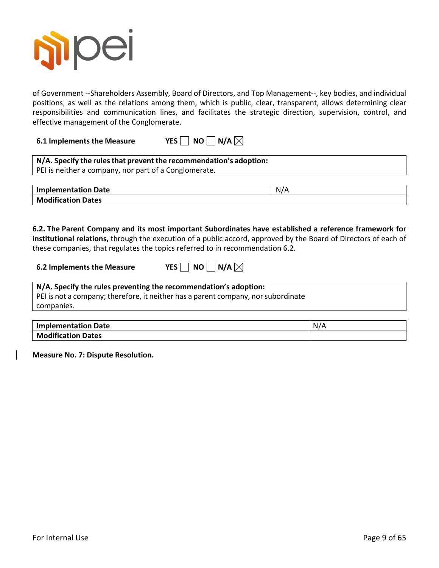

of Government --Shareholders Assembly, Board of Directors, and Top Management--, key bodies, and individual positions, as well as the relations among them, which is public, clear, transparent, allows determining clear responsibilities and communication lines, and facilitates the strategic direction, supervision, control, and effective management of the Conglomerate.

**6.1 Implements the Measure YES NO N/A** $\boxtimes$ 

| N/A. Specify the rules that prevent the recommendation's adoption: |  |
|--------------------------------------------------------------------|--|
| PEI is neither a company, nor part of a Conglomerate.              |  |

| <b>Implementation Date</b> |  |
|----------------------------|--|
| <b>Modification Dates</b>  |  |

**6.2. The Parent Company and its most important Subordinates have established a reference framework for institutional relations,** through the execution of a public accord, approved by the Board of Directors of each of these companies, that regulates the topics referred to in recommendation 6.2.

| YES $\Box$ NO $\Box$ N/A |
|--------------------------|

#### **N/A. Specify the rules preventing the recommendation's adoption:**

PEI is not a company; therefore, it neither has a parent company, nor subordinate companies.

| <b>Implementation Date</b> | N/A |
|----------------------------|-----|
| <b>Modification Dates</b>  |     |

**Measure No. 7: Dispute Resolution.**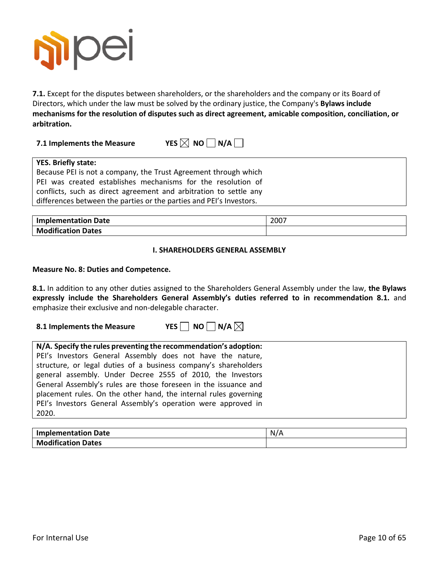

**7.1.** Except for the disputes between shareholders, or the shareholders and the company or its Board of Directors, which under the law must be solved by the ordinary justice, the Company's **Bylaws include mechanisms for the resolution of disputes such as direct agreement, amicable composition, conciliation, or arbitration.**

**7.1** Implements the Measure YES  $\times$  NO  $\cap$  N/A  $\cap$ 

| <b>YES. Briefly state:</b>                                          |
|---------------------------------------------------------------------|
| Because PEI is not a company, the Trust Agreement through which     |
| PEI was created establishes mechanisms for the resolution of        |
| conflicts, such as direct agreement and arbitration to settle any   |
| differences between the parties or the parties and PEI's Investors. |

| <b>Implementation Date</b> | 2007 |
|----------------------------|------|
| <b>Modification Dates</b>  |      |

#### **I. SHAREHOLDERS GENERAL ASSEMBLY**

#### **Measure No. 8: Duties and Competence.**

**8.1.** In addition to any other duties assigned to the Shareholders General Assembly under the law, **the Bylaws expressly include the Shareholders General Assembly's duties referred to in recommendation 8.1.** and emphasize their exclusive and non-delegable character.

**8.1 Implements the Measure YES NO N/A** $\boxtimes$ 

| N/A. Specify the rules preventing the recommendation's adoption: |
|------------------------------------------------------------------|
|                                                                  |
| PEI's Investors General Assembly does not have the nature,       |
| structure, or legal duties of a business company's shareholders  |
| general assembly. Under Decree 2555 of 2010, the Investors       |
| General Assembly's rules are those foreseen in the issuance and  |
| placement rules. On the other hand, the internal rules governing |
| PEI's Investors General Assembly's operation were approved in    |
| 2020.                                                            |

| <b>Implementation Date</b> | N/A |
|----------------------------|-----|
| <b>Modification Dates</b>  |     |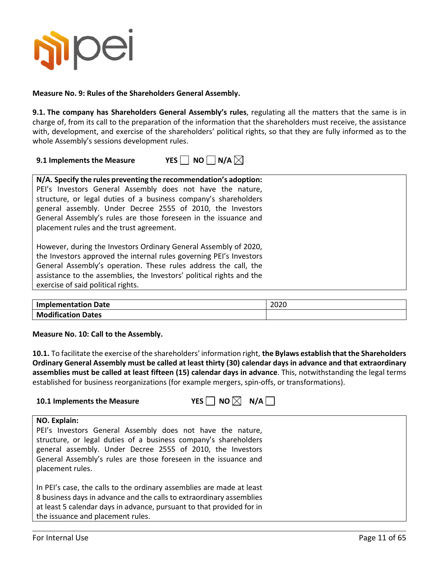

**Measure No. 9: Rules of the Shareholders General Assembly.**

**9.1. The company has Shareholders General Assembly's rules**, regulating all the matters that the same is in charge of, from its call to the preparation of the information that the shareholders must receive, the assistance with, development, and exercise of the shareholders' political rights, so that they are fully informed as to the whole Assembly's sessions development rules.

**9.1 Implements the Measure COMP AT A** 

|  |  |  |  | N/A |  |  |
|--|--|--|--|-----|--|--|
|--|--|--|--|-----|--|--|

| N/A. Specify the rules preventing the recommendation's adoption:<br>PEI's Investors General Assembly does not have the nature,<br>structure, or legal duties of a business company's shareholders<br>general assembly. Under Decree 2555 of 2010, the Investors<br>General Assembly's rules are those foreseen in the issuance and<br>placement rules and the trust agreement. |  |
|--------------------------------------------------------------------------------------------------------------------------------------------------------------------------------------------------------------------------------------------------------------------------------------------------------------------------------------------------------------------------------|--|
| However, during the Investors Ordinary General Assembly of 2020,<br>the Investors approved the internal rules governing PEI's Investors<br>General Assembly's operation. These rules address the call, the<br>assistance to the assemblies, the Investors' political rights and the<br>exercise of said political rights.                                                      |  |

| <b>Implementation Date</b> | 2020 |
|----------------------------|------|
| <b>Modification Dates</b>  |      |

**Measure No. 10: Call to the Assembly.**

**10.1.** To facilitate the exercise of the shareholders' information right, **the Bylaws establish that the Shareholders Ordinary General Assembly must be called at least thirty (30) calendar days in advance and that extraordinary assemblies must be called at least fifteen (15) calendar days in advance**. This, notwithstanding the legal terms established for business reorganizations (for example mergers, spin-offs, or transformations).

| N/A<br>NO<br>YES  <br>10.1 Implements the Measure                                                                                                                                                                                                                                                  |  |
|----------------------------------------------------------------------------------------------------------------------------------------------------------------------------------------------------------------------------------------------------------------------------------------------------|--|
| NO. Explain:<br>PEI's Investors General Assembly does not have the nature,<br>structure, or legal duties of a business company's shareholders<br>general assembly. Under Decree 2555 of 2010, the Investors<br>General Assembly's rules are those foreseen in the issuance and<br>placement rules. |  |
| In PEI's case, the calls to the ordinary assemblies are made at least<br>8 business days in advance and the calls to extraordinary assemblies<br>at least 5 calendar days in advance, pursuant to that provided for in<br>the issuance and placement rules.                                        |  |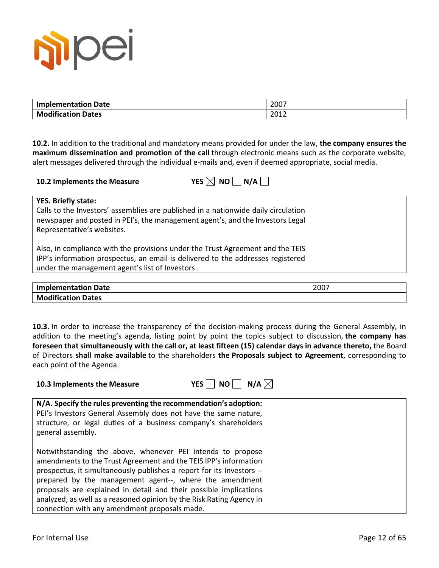

| <b>Implementation Date</b> | 2007 |
|----------------------------|------|
| <b>Modification Dates</b>  | 2012 |

**10.2.** In addition to the traditional and mandatory means provided for under the law, **the company ensures the maximum dissemination and promotion of the call** through electronic means such as the corporate website, alert messages delivered through the individual e-mails and, even if deemed appropriate, social media.

| 10.2 Implements the Measure | YES $\boxtimes$ NO $\Box$ N/A |
|-----------------------------|-------------------------------|
|-----------------------------|-------------------------------|

| $\prime$ es $\boxtimes$ l no l |  | $\vert N/A \vert$ |
|--------------------------------|--|-------------------|
|--------------------------------|--|-------------------|

**YES. Briefly state:**

Calls to the Investors' assemblies are published in a nationwide daily circulation newspaper and posted in PEI's, the management agent's, and the Investors Legal Representative's websites.

Also, in compliance with the provisions under the Trust Agreement and the TEIS IPP's information prospectus, an email is delivered to the addresses registered under the management agent's list of Investors .

| <b>Implementation Date</b> | 2007 |
|----------------------------|------|
| <b>Modification Dates</b>  |      |

**10.3.** In order to increase the transparency of the decision-making process during the General Assembly, in addition to the meeting's agenda, listing point by point the topics subject to discussion, **the company has foreseen that simultaneously with the call or, at least fifteen (15) calendar days in advance thereto,** the Board of Directors **shall make available** to the shareholders **the Proposals subject to Agreement**, corresponding to each point of the Agenda.

| 10.3 Implements the Measure                                              | YES $\Box$ NO $\Box$ N/A $\boxtimes$ |  |
|--------------------------------------------------------------------------|--------------------------------------|--|
| $\vert$ N/A. Specify the rules preventing the recommendation's adoption: |                                      |  |
| l PEI's Investors General Assembly does not have the same nature.        |                                      |  |

| PEI's Investors General Assembly does not have the same nature, |
|-----------------------------------------------------------------|
| structure, or legal duties of a business company's shareholders |
| general assembly.                                               |

Notwithstanding the above, whenever PEI intends to propose amendments to the Trust Agreement and the TEIS IPP's information prospectus, it simultaneously publishes a report for its Investors - prepared by the management agent--, where the amendment proposals are explained in detail and their possible implications analyzed, as well as a reasoned opinion by the Risk Rating Agency in connection with any amendment proposals made.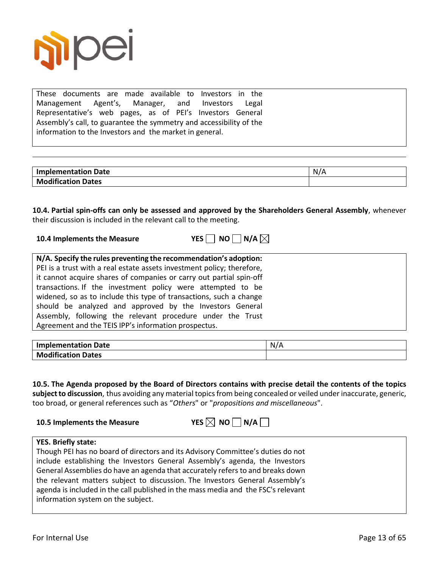

These documents are made available to Investors in the Management Agent's, Manager, and Investors Legal Representative's web pages, as of PEI's Investors General Assembly's call, to guarantee the symmetry and accessibility of the information to the Investors and the market in general.

| <b>Implementation Date</b> | N<br>$\sqrt{2}$ |
|----------------------------|-----------------|
| <b>Modification Dates</b>  |                 |

**10.4. Partial spin-offs can only be assessed and approved by the Shareholders General Assembly**, whenever their discussion is included in the relevant call to the meeting.

| 10.4 Implements the Measure | YES $\Box$ NO $\Box$ N/A $\boxtimes$ |  |  |
|-----------------------------|--------------------------------------|--|--|
|                             |                                      |  |  |

| <b>Implementation Date</b> | N/ |
|----------------------------|----|
| <b>Modification Dates</b>  |    |

**10.5. The Agenda proposed by the Board of Directors contains with precise detail the contents of the topics subject to discussion**, thus avoiding any material topics from being concealed or veiled under inaccurate, generic, too broad, or general references such as "*Others*" or "*propositions and miscellaneous*".

**10.5 Implements the Measure YES**  $\boxtimes$  **NO**  $\Box$  **N/A** $\Box$ 

### **YES. Briefly state:**

Though PEI has no board of directors and its Advisory Committee's duties do not include establishing the Investors General Assembly's agenda, the Investors General Assemblies do have an agenda that accurately refers to and breaks down the relevant matters subject to discussion. The Investors General Assembly's agenda is included in the call published in the mass media and the FSC's relevant information system on the subject.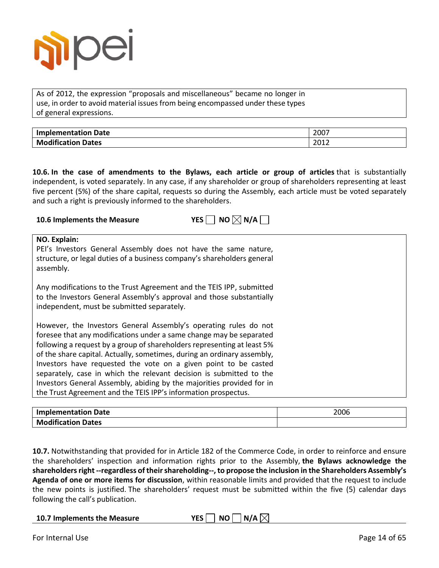

As of 2012, the expression "proposals and miscellaneous" became no longer in use, in order to avoid material issues from being encompassed under these types of general expressions.

| plementation Date        | $\sim$ 200 $-$ |
|--------------------------|----------------|
| <b>Imp</b>               | ZUU.           |
| $\cdots$                 | 2012           |
| <b>าdification Dates</b> | ᅩ◡∸∠           |

**10.6. In the case of amendments to the Bylaws, each article or group of articles** that is substantially independent, is voted separately. In any case, if any shareholder or group of shareholders representing at least five percent (5%) of the share capital, requests so during the Assembly, each article must be voted separately and such a right is previously informed to the shareholders.

| NO $\times$ N/A $\overline{\phantom{a}}$<br>YES <sup>I</sup><br>10.6 Implements the Measure                                                                                                                                                                                                                                                                                                                                                                                                                                                                                        |
|------------------------------------------------------------------------------------------------------------------------------------------------------------------------------------------------------------------------------------------------------------------------------------------------------------------------------------------------------------------------------------------------------------------------------------------------------------------------------------------------------------------------------------------------------------------------------------|
| NO. Explain:<br>PEI's Investors General Assembly does not have the same nature,<br>structure, or legal duties of a business company's shareholders general<br>assembly.                                                                                                                                                                                                                                                                                                                                                                                                            |
| Any modifications to the Trust Agreement and the TEIS IPP, submitted<br>to the Investors General Assembly's approval and those substantially<br>independent, must be submitted separately.                                                                                                                                                                                                                                                                                                                                                                                         |
| However, the Investors General Assembly's operating rules do not<br>foresee that any modifications under a same change may be separated<br>following a request by a group of shareholders representing at least 5%<br>of the share capital. Actually, sometimes, during an ordinary assembly,<br>Investors have requested the vote on a given point to be casted<br>separately, case in which the relevant decision is submitted to the<br>Investors General Assembly, abiding by the majorities provided for in<br>the Trust Agreement and the TEIS IPP's information prospectus. |

| <b>Implementation Date</b> | 2006 |
|----------------------------|------|
| <b>Modification Dates</b>  |      |

**10.7.** Notwithstanding that provided for in Article 182 of the Commerce Code, in order to reinforce and ensure the shareholders' inspection and information rights prior to the Assembly, **the Bylaws acknowledge the shareholders right --regardless of theirshareholding--, to propose the inclusion in the Shareholders Assembly's Agenda of one or more items for discussion**, within reasonable limits and provided that the request to include the new points is justified. The shareholders' request must be submitted within the five (5) calendar days following the call's publication.

**10.7** Implements the Measure YES NO N/A  $\boxtimes$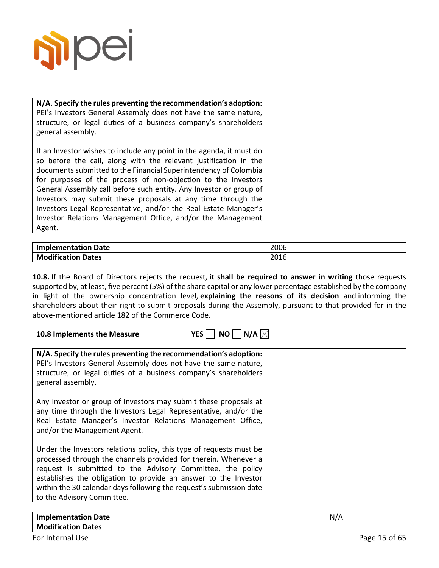

**10.8 Implements the Measure** 

**N/A. Specify the rules preventing the recommendation's adoption:** PEI's Investors General Assembly does not have the same nature, structure, or legal duties of a business company's shareholders general assembly.

If an Investor wishes to include any point in the agenda, it must do so before the call, along with the relevant justification in the documents submitted to the Financial Superintendency of Colombia for purposes of the process of non-objection to the Investors General Assembly call before such entity. Any Investor or group of Investors may submit these proposals at any time through the Investors Legal Representative, and/or the Real Estate Manager's Investor Relations Management Office, and/or the Management Agent.

| <b>Implementation Date</b> | 2006 |
|----------------------------|------|
| <b>Modification Dates</b>  | 2016 |

**10.8.** If the Board of Directors rejects the request, **it shall be required to answer in writing** those requests supported by, at least, five percent (5%) of the share capital or any lower percentage established by the company in light of the ownership concentration level, **explaining the reasons of its decision** and informing the shareholders about their right to submit proposals during the Assembly, pursuant to that provided for in the above-mentioned article 182 of the Commerce Code.

| YFS. | $\sqcap$ NO $\Box$ N/A $\boxtimes$ |  |  |
|------|------------------------------------|--|--|
|      |                                    |  |  |

| N/A. Specify the rules preventing the recommendation's adoption:<br>PEI's Investors General Assembly does not have the same nature,<br>structure, or legal duties of a business company's shareholders<br>general assembly.                                                                                                                                                  |
|------------------------------------------------------------------------------------------------------------------------------------------------------------------------------------------------------------------------------------------------------------------------------------------------------------------------------------------------------------------------------|
| Any Investor or group of Investors may submit these proposals at<br>any time through the Investors Legal Representative, and/or the<br>Real Estate Manager's Investor Relations Management Office,<br>and/or the Management Agent.                                                                                                                                           |
| Under the Investors relations policy, this type of requests must be<br>processed through the channels provided for therein. Whenever a<br>request is submitted to the Advisory Committee, the policy<br>establishes the obligation to provide an answer to the Investor<br>within the 30 calendar days following the request's submission date<br>to the Advisory Committee. |

| <b>Date</b><br>Implementation       | N. |
|-------------------------------------|----|
| <b>Modification</b><br><b>Dates</b> |    |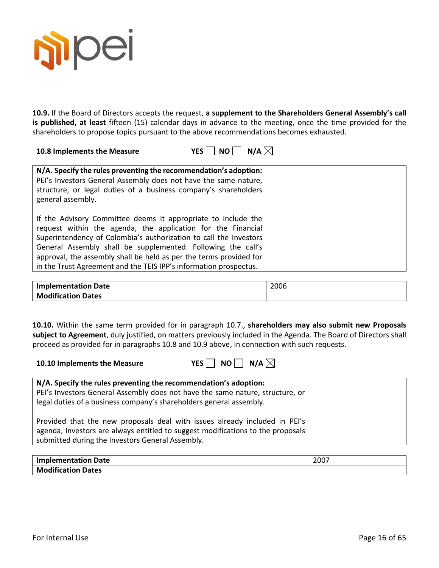

**10.9.** If the Board of Directors accepts the request, **a supplement to the Shareholders General Assembly's call is published, at least** fifteen (15) calendar days in advance to the meeting, once the time provided for the shareholders to propose topics pursuant to the above recommendations becomes exhausted.

| 10.8 Implements the Measure | YES $\Box$ NO $\Box$ N/A $\boxtimes$ |
|-----------------------------|--------------------------------------|
|-----------------------------|--------------------------------------|

| N/A. Specify the rules preventing the recommendation's adoption:<br>PEI's Investors General Assembly does not have the same nature,<br>structure, or legal duties of a business company's shareholders<br>general assembly.                                                                                                                                                                                   |
|---------------------------------------------------------------------------------------------------------------------------------------------------------------------------------------------------------------------------------------------------------------------------------------------------------------------------------------------------------------------------------------------------------------|
| If the Advisory Committee deems it appropriate to include the<br>request within the agenda, the application for the Financial<br>Superintendency of Colombia's authorization to call the Investors<br>General Assembly shall be supplemented. Following the call's<br>approval, the assembly shall be held as per the terms provided for<br>in the Trust Agreement and the TEIS IPP's information prospectus. |

| <b>Implementation Date</b> | 2006 |
|----------------------------|------|
| <b>Modification Dates</b>  |      |

**10.10.** Within the same term provided for in paragraph 10.7., **shareholders may also submit new Proposals subject to Agreement**, duly justified, on matters previously included in the Agenda. The Board of Directors shall proceed as provided for in paragraphs 10.8 and 10.9 above, in connection with such requests.



| N/A. Specify the rules preventing the recommendation's adoption:<br>PEI's Investors General Assembly does not have the same nature, structure, or<br>legal duties of a business company's shareholders general assembly. |
|--------------------------------------------------------------------------------------------------------------------------------------------------------------------------------------------------------------------------|
| Provided that the new proposals deal with issues already included in PEI's<br>agenda, Investors are always entitled to suggest modifications to the proposals<br>submitted during the Investors General Assembly.        |

| <b>Implementation Date</b> | בממר<br>ZUU. |
|----------------------------|--------------|
| <b>Modification Dates</b>  |              |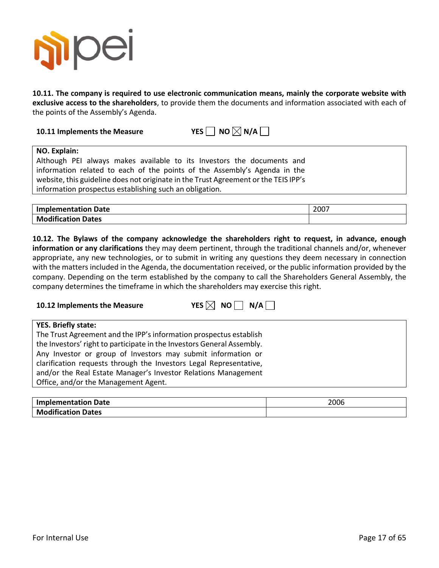

**10.11. The company is required to use electronic communication means, mainly the corporate website with exclusive access to the shareholders**, to provide them the documents and information associated with each of the points of the Assembly's Agenda.

**10.11 Implements the Measure YES NO**  $\boxtimes$  **N/A** 

#### **NO. Explain:**

Although PEI always makes available to its Investors the documents and information related to each of the points of the Assembly's Agenda in the website, this guideline does not originate in the Trust Agreement or the TEIS IPP's information prospectus establishing such an obligation.

| <b>Implementation Date</b> | 2007 |
|----------------------------|------|
| <b>Modification Dates</b>  |      |

**10.12. The Bylaws of the company acknowledge the shareholders right to request, in advance, enough information or any clarifications** they may deem pertinent, through the traditional channels and/or, whenever appropriate, any new technologies, or to submit in writing any questions they deem necessary in connection with the matters included in the Agenda, the documentation received, or the public information provided by the company. Depending on the term established by the company to call the Shareholders General Assembly, the company determines the timeframe in which the shareholders may exercise this right.

| 10.12 Implements the Measure | YES $\boxtimes$ NO $\Box$ N/A $\Box$ |
|------------------------------|--------------------------------------|
|------------------------------|--------------------------------------|

| <b>YES. Briefly state:</b>                                             |
|------------------------------------------------------------------------|
| The Trust Agreement and the IPP's information prospectus establish     |
| the Investors' right to participate in the Investors General Assembly. |
| Any Investor or group of Investors may submit information or           |
| clarification requests through the Investors Legal Representative,     |
| and/or the Real Estate Manager's Investor Relations Management         |
| Office, and/or the Management Agent.                                   |
|                                                                        |

| <b>Implementation Date</b> | 2006 |
|----------------------------|------|
| <b>Modification Dates</b>  |      |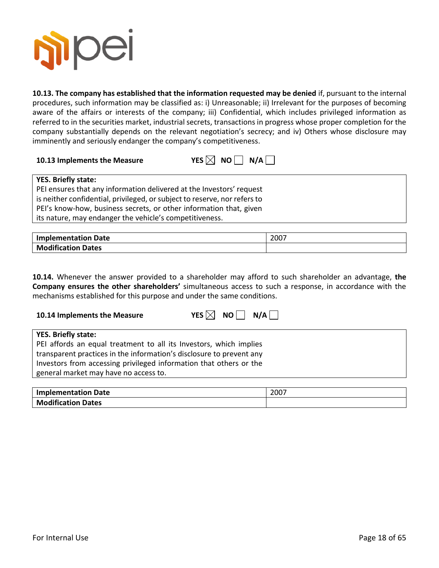

**10.13. The company has established that the information requested may be denied** if, pursuant to the internal procedures, such information may be classified as: i) Unreasonable; ii) Irrelevant for the purposes of becoming aware of the affairs or interests of the company; iii) Confidential, which includes privileged information as referred to in the securities market, industrial secrets, transactions in progress whose proper completion for the company substantially depends on the relevant negotiation's secrecy; and iv) Others whose disclosure may imminently and seriously endanger the company's competitiveness.

| 10.13 Implements the Measure | YES $\boxtimes$ NO $\Box$ N/A |  |  |
|------------------------------|-------------------------------|--|--|
|------------------------------|-------------------------------|--|--|

| <b>YES. Briefly state:</b>                                                |
|---------------------------------------------------------------------------|
| PEI ensures that any information delivered at the Investors' request      |
| is neither confidential, privileged, or subject to reserve, nor refers to |
| PEI's know-how, business secrets, or other information that, given        |
| its nature, may endanger the vehicle's competitiveness.                   |

| <b>Implementation Date</b> | 2007 |
|----------------------------|------|
| <b>Modification Dates</b>  |      |

**10.14.** Whenever the answer provided to a shareholder may afford to such shareholder an advantage, **the Company ensures the other shareholders'** simultaneous access to such a response, in accordance with the mechanisms established for this purpose and under the same conditions.

| 10.14 Implements the Measure                                                                                                                                                                                                                                                            | YES $\boxtimes$ NO $\parallel$ N/A $\parallel$ |
|-----------------------------------------------------------------------------------------------------------------------------------------------------------------------------------------------------------------------------------------------------------------------------------------|------------------------------------------------|
| <b>YES. Briefly state:</b><br>PEI affords an equal treatment to all its Investors, which implies<br>transparent practices in the information's disclosure to prevent any<br>Investors from accessing privileged information that others or the<br>general market may have no access to. |                                                |

| <b>Implementation Date</b> | 2007 |
|----------------------------|------|
| <b>Modification Dates</b>  |      |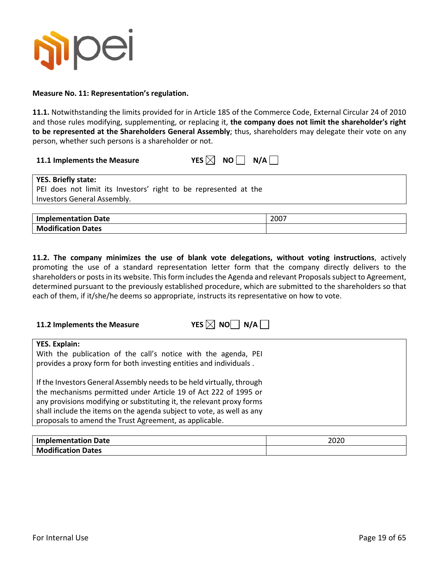

#### **Measure No. 11: Representation's regulation.**

**11.1.** Notwithstanding the limits provided for in Article 185 of the Commerce Code, External Circular 24 of 2010 and those rules modifying, supplementing, or replacing it, **the company does not limit the shareholder's right to be represented at the Shareholders General Assembly**; thus, shareholders may delegate their vote on any person, whether such persons is a shareholder or not.

**11.1** Implements the Measure YES  $\boxtimes$  NO N/A  $\Box$ 

| <b>YES. Briefly state:</b>                                       |
|------------------------------------------------------------------|
| PEI does not limit its Investors' right to be represented at the |
| Investors General Assembly.                                      |
|                                                                  |

| <b>Implementation Date</b> | 2007 |
|----------------------------|------|
| <b>Modification Dates</b>  |      |

**11.2. The company minimizes the use of blank vote delegations, without voting instructions**, actively promoting the use of a standard representation letter form that the company directly delivers to the shareholders or postsin its website. Thisform includes the Agenda and relevant Proposals subject to Agreement, determined pursuant to the previously established procedure, which are submitted to the shareholders so that each of them, if it/she/he deems so appropriate, instructs its representative on how to vote.

| 11.2 Implements the Measure | YES $\boxtimes$ NO $\Box$ N/A |
|-----------------------------|-------------------------------|
|-----------------------------|-------------------------------|

| YES. Explain:                                                         |
|-----------------------------------------------------------------------|
| With the publication of the call's notice with the agenda, PEI        |
| provides a proxy form for both investing entities and individuals.    |
|                                                                       |
| If the Investors General Assembly needs to be held virtually, through |
| the mechanisms permitted under Article 19 of Act 222 of 1995 or       |
|                                                                       |
| any provisions modifying or substituting it, the relevant proxy forms |
| shall include the items on the agenda subject to vote, as well as any |
| proposals to amend the Trust Agreement, as applicable.                |

| <b>Implementation Date</b> | 2020 |
|----------------------------|------|
| <b>Modification Dates</b>  |      |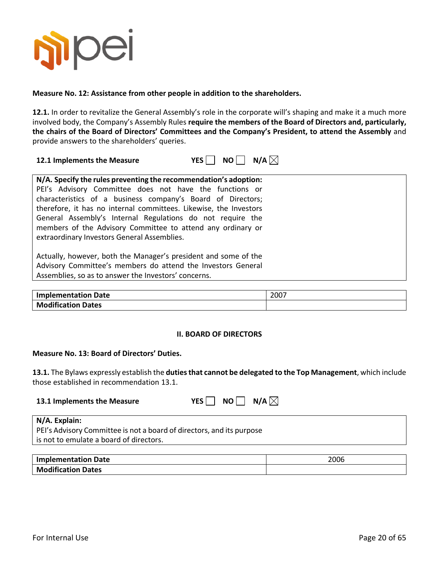

#### **Measure No. 12: Assistance from other people in addition to the shareholders.**

**12.1.** In order to revitalize the General Assembly's role in the corporate will's shaping and make it a much more involved body, the Company's Assembly Rules **require the members of the Board of Directors and, particularly, the chairs of the Board of Directors' Committees and the Company's President, to attend the Assembly** and provide answers to the shareholders' queries.

| 12.1 Implements the Measure | YES $\Box$ NO $\Box$ N/A $\boxtimes$ |  |
|-----------------------------|--------------------------------------|--|
|-----------------------------|--------------------------------------|--|

| N/A. Specify the rules preventing the recommendation's adoption:<br>PEI's Advisory Committee does not have the functions or<br>characteristics of a business company's Board of Directors;<br>therefore, it has no internal committees. Likewise, the Investors<br>General Assembly's Internal Regulations do not require the<br>members of the Advisory Committee to attend any ordinary or<br>extraordinary Investors General Assemblies. |
|---------------------------------------------------------------------------------------------------------------------------------------------------------------------------------------------------------------------------------------------------------------------------------------------------------------------------------------------------------------------------------------------------------------------------------------------|
| Actually, however, both the Manager's president and some of the<br>Advisory Committee's members do attend the Investors General<br>Assemblies, so as to answer the Investors' concerns.                                                                                                                                                                                                                                                     |

| <b>Implementation Date</b> | 2007 |
|----------------------------|------|
| <b>Modification Dates</b>  |      |

#### **II. BOARD OF DIRECTORS**

#### **Measure No. 13: Board of Directors' Duties.**

**13.1.** The Bylaws expressly establish the **duties that cannot be delegated to the Top Management**, which include those established in recommendation 13.1.

| 13.1 Implements the Measure | YES $\Box$ NO $\Box$ N/A $\boxtimes$ |  |  |
|-----------------------------|--------------------------------------|--|--|
|-----------------------------|--------------------------------------|--|--|

| N/A. Explain:                                                         |
|-----------------------------------------------------------------------|
| PEI's Advisory Committee is not a board of directors, and its purpose |
| is not to emulate a board of directors.                               |

| Date<br><b>Implementation</b><br> | 2006 |
|-----------------------------------|------|
| <b>Extention Dates</b><br>Mo      |      |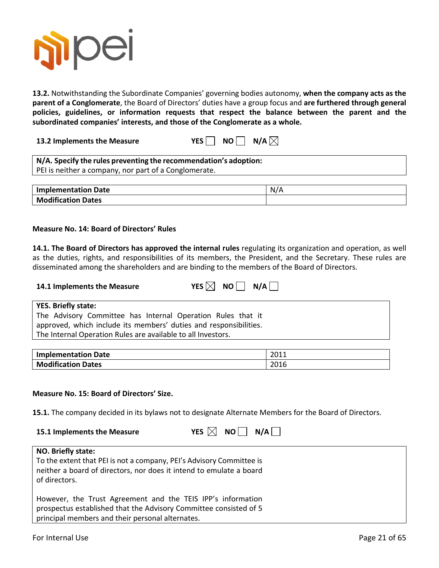

**13.2.** Notwithstanding the Subordinate Companies' governing bodies autonomy, **when the company acts as the parent of a Conglomerate**, the Board of Directors' duties have a group focus and **are furthered through general policies, guidelines, or information requests that respect the balance between the parent and the subordinated companies' interests, and those of the Conglomerate as a whole.**

**13.2 Implements the Measure YES NO N/A** $\boxtimes$ 

| N/A. Specify the rules preventing the recommendation's adoption: |  |
|------------------------------------------------------------------|--|
| PEI is neither a company, nor part of a Conglomerate.            |  |

| <b>Implementation Date</b> | N/L |
|----------------------------|-----|
| <b>Modification Dates</b>  |     |

#### **Measure No. 14: Board of Directors' Rules**

**14.1. The Board of Directors has approved the internal rules** regulating its organization and operation, as well as the duties, rights, and responsibilities of its members, the President, and the Secretary. These rules are disseminated among the shareholders and are binding to the members of the Board of Directors.

| 14.1 Implements the Measure                                 | YES $\boxtimes$ NO N/A |
|-------------------------------------------------------------|------------------------|
| <b>YES. Briefly state:</b>                                  |                        |
| The Advisory Committee has Internal Operation Rules that it |                        |

| The Advisory Committee has Internal Operation Rules that it       |
|-------------------------------------------------------------------|
| approved, which include its members' duties and responsibilities. |
| The Internal Operation Rules are available to all Investors.      |

| <b>Implementation Date</b> | 2011 |
|----------------------------|------|
| <b>Modification Dates</b>  | 2016 |

#### **Measure No. 15: Board of Directors' Size.**

**15.1.** The company decided in its bylaws not to designate Alternate Members for the Board of Directors.

| 15.1 Implements the Measure | YES $\boxtimes$ NO $\Box$ N/A |  |  |
|-----------------------------|-------------------------------|--|--|
|-----------------------------|-------------------------------|--|--|

|  | ES $\boxtimes$ | ΝO | N/A |  |
|--|----------------|----|-----|--|
|--|----------------|----|-----|--|

| NO. Briefly state:                                                                                                                                                                   |
|--------------------------------------------------------------------------------------------------------------------------------------------------------------------------------------|
| To the extent that PEI is not a company, PEI's Advisory Committee is<br>neither a board of directors, nor does it intend to emulate a board<br>of directors.                         |
| However, the Trust Agreement and the TEIS IPP's information<br>prospectus established that the Advisory Committee consisted of 5<br>principal members and their personal alternates. |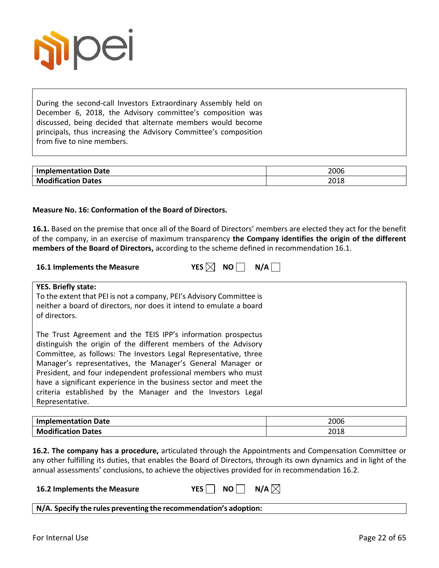

During the second-call Investors Extraordinary Assembly held on December 6, 2018, the Advisory committee's composition was discussed, being decided that alternate members would become principals, thus increasing the Advisory Committee's composition from five to nine members.

| Implementation Date       | 2006 |
|---------------------------|------|
| <b>Modification Dates</b> | 2018 |

#### **Measure No. 16: Conformation of the Board of Directors.**

**16.1.** Based on the premise that once all of the Board of Directors' members are elected they act for the benefit of the company, in an exercise of maximum transparency **the Company identifies the origin of the different members of the Board of Directors,** according to the scheme defined in recommendation 16.1.

| 16.1 Implements the Measure |  |  | YES $\boxtimes$ NO $\Box$ N/A |
|-----------------------------|--|--|-------------------------------|
|-----------------------------|--|--|-------------------------------|

| S.<br>Х | NΟ | N/A |  |
|---------|----|-----|--|
|---------|----|-----|--|

#### **YES. Briefly state:**

To the extent that PEI is not a company, PEI's Advisory Committee is neither a board of directors, nor does it intend to emulate a board of directors.

The Trust Agreement and the TEIS IPP's information prospectus distinguish the origin of the different members of the Advisory Committee, as follows: The Investors Legal Representative, three Manager's representatives, the Manager's General Manager or President, and four independent professional members who must have a significant experience in the business sector and meet the criteria established by the Manager and the Investors Legal Representative.

| Implementation Date       | 2006 |
|---------------------------|------|
| <b>Modification Dates</b> | 2018 |

**16.2. The company has a procedure,** articulated through the Appointments and Compensation Committee or any other fulfilling its duties, that enables the Board of Directors, through its own dynamics and in light of the annual assessments' conclusions, to achieve the objectives provided for in recommendation 16.2.

| 16.2 Implements the Measure |  | YES $\Box$ NO $\Box$ N/A $\boxtimes$ |  |
|-----------------------------|--|--------------------------------------|--|
|                             |  |                                      |  |

**N/A. Specify the rules preventing the recommendation's adoption:**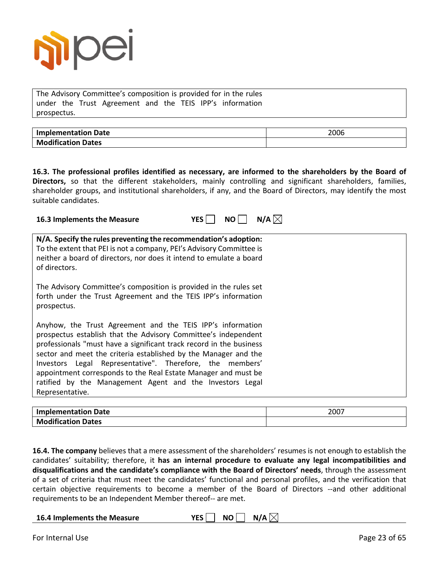

The Advisory Committee's composition is provided for in the rules under the Trust Agreement and the TEIS IPP's information prospectus.

| <b>Implementation Date</b> | 2006 |
|----------------------------|------|
| <b>Modification Dates</b>  |      |

**16.3. The professional profiles identified as necessary, are informed to the shareholders by the Board of Directors,** so that the different stakeholders, mainly controlling and significant shareholders, families, shareholder groups, and institutional shareholders, if any, and the Board of Directors, may identify the most suitable candidates.

| N/A $\boxtimes$<br><b>YES</b><br>16.3 Implements the Measure<br>NO.                                                                                                                                                                                                                                                                                                                                                                                                                 |
|-------------------------------------------------------------------------------------------------------------------------------------------------------------------------------------------------------------------------------------------------------------------------------------------------------------------------------------------------------------------------------------------------------------------------------------------------------------------------------------|
| N/A. Specify the rules preventing the recommendation's adoption:<br>To the extent that PEI is not a company, PEI's Advisory Committee is<br>neither a board of directors, nor does it intend to emulate a board<br>of directors.                                                                                                                                                                                                                                                    |
| The Advisory Committee's composition is provided in the rules set<br>forth under the Trust Agreement and the TEIS IPP's information<br>prospectus.                                                                                                                                                                                                                                                                                                                                  |
| Anyhow, the Trust Agreement and the TEIS IPP's information<br>prospectus establish that the Advisory Committee's independent<br>professionals "must have a significant track record in the business<br>sector and meet the criteria established by the Manager and the<br>Investors Legal Representative". Therefore, the members'<br>appointment corresponds to the Real Estate Manager and must be<br>ratified by the Management Agent and the Investors Legal<br>Representative. |

| Implementation Date       | 2007 |
|---------------------------|------|
| <b>Modification Dates</b> |      |

**16.4. The company** believes that a mere assessment of the shareholders' resumes is not enough to establish the candidates' suitability; therefore, it **has an internal procedure to evaluate any legal incompatibilities and disqualifications and the candidate's compliance with the Board of Directors' needs**, through the assessment of a set of criteria that must meet the candidates' functional and personal profiles, and the verification that certain objective requirements to become a member of the Board of Directors --and other additional requirements to be an Independent Member thereof-- are met.

| 16.4 Implements the Measure |  | YES $\Box$ NO $\Box$ N/A $\boxtimes$ |
|-----------------------------|--|--------------------------------------|
|-----------------------------|--|--------------------------------------|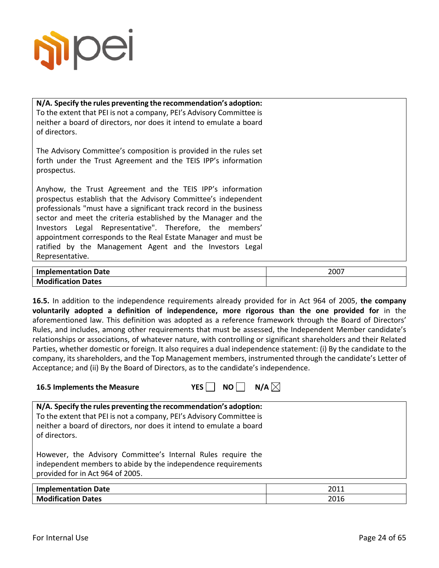

**N/A. Specify the rules preventing the recommendation's adoption:** To the extent that PEI is not a company, PEI's Advisory Committee is neither a board of directors, nor does it intend to emulate a board of directors. The Advisory Committee's composition is provided in the rules set forth under the Trust Agreement and the TEIS IPP's information prospectus. Anyhow, the Trust Agreement and the TEIS IPP's information prospectus establish that the Advisory Committee's independent professionals "must have a significant track record in the business sector and meet the criteria established by the Manager and the Investors Legal Representative". Therefore, the members' appointment corresponds to the Real Estate Manager and must be ratified by the Management Agent and the Investors Legal Representative. **Implementation Date** 2007

**16.5.** In addition to the independence requirements already provided for in Act 964 of 2005, **the company voluntarily adopted a definition of independence, more rigorous than the one provided for** in the aforementioned law. This definition was adopted as a reference framework through the Board of Directors' Rules, and includes, among other requirements that must be assessed, the Independent Member candidate's relationships or associations, of whatever nature, with controlling or significant shareholders and their Related Parties, whether domestic or foreign. It also requires a dual independence statement: (i) By the candidate to the company, its shareholders, and the Top Management members, instrumented through the candidate's Letter of Acceptance; and (ii) By the Board of Directors, as to the candidate's independence.

| <b>16.5 Implements the Measure</b> | YES $\Box$ NO $\Box$ N/A $\boxtimes$ |  |
|------------------------------------|--------------------------------------|--|
|                                    |                                      |  |

| N/A. Specify the rules preventing the recommendation's adoption:<br>To the extent that PEI is not a company, PEI's Advisory Committee is<br>neither a board of directors, nor does it intend to emulate a board<br>of directors. |      |
|----------------------------------------------------------------------------------------------------------------------------------------------------------------------------------------------------------------------------------|------|
| However, the Advisory Committee's Internal Rules require the                                                                                                                                                                     |      |
| independent members to abide by the independence requirements                                                                                                                                                                    |      |
| provided for in Act 964 of 2005.                                                                                                                                                                                                 |      |
|                                                                                                                                                                                                                                  |      |
| <b>Implementation Date</b>                                                                                                                                                                                                       | 2011 |

**Modification Dates** 2016

**Modification Dates**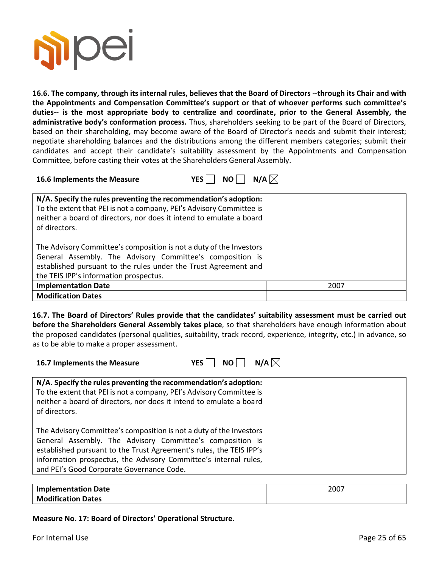

**16.6. The company, through its internal rules, believes that the Board of Directors --through its Chair and with the Appointments and Compensation Committee's support or that of whoever performs such committee's duties-- is the most appropriate body to centralize and coordinate, prior to the General Assembly, the administrative body's conformation process.** Thus, shareholders seeking to be part of the Board of Directors, based on their shareholding, may become aware of the Board of Director's needs and submit their interest; negotiate shareholding balances and the distributions among the different members categories; submit their candidates and accept their candidate's suitability assessment by the Appointments and Compensation Committee, before casting their votes at the Shareholders General Assembly.



| N/A. Specify the rules preventing the recommendation's adoption:<br>To the extent that PEI is not a company, PEI's Advisory Committee is<br>neither a board of directors, nor does it intend to emulate a board<br>of directors.              |      |
|-----------------------------------------------------------------------------------------------------------------------------------------------------------------------------------------------------------------------------------------------|------|
| The Advisory Committee's composition is not a duty of the Investors<br>General Assembly. The Advisory Committee's composition is<br>established pursuant to the rules under the Trust Agreement and<br>the TEIS IPP's information prospectus. |      |
| <b>Implementation Date</b>                                                                                                                                                                                                                    | 2007 |
| <b>Modification Dates</b>                                                                                                                                                                                                                     |      |

**16.7. The Board of Directors' Rules provide that the candidates' suitability assessment must be carried out before the Shareholders General Assembly takes place**, so that shareholders have enough information about the proposed candidates (personal qualities, suitability, track record, experience, integrity, etc.) in advance, so as to be able to make a proper assessment.

**16.7 Implements the Measure YES NO N/A**

| ΞS | NO. | N/A $\boxtimes$ |
|----|-----|-----------------|
|----|-----|-----------------|

| N/A. Specify the rules preventing the recommendation's adoption:<br>To the extent that PEI is not a company, PEI's Advisory Committee is<br>neither a board of directors, nor does it intend to emulate a board<br>of directors.                                                                                         |  |
|--------------------------------------------------------------------------------------------------------------------------------------------------------------------------------------------------------------------------------------------------------------------------------------------------------------------------|--|
| The Advisory Committee's composition is not a duty of the Investors<br>General Assembly. The Advisory Committee's composition is<br>established pursuant to the Trust Agreement's rules, the TEIS IPP's<br>information prospectus, the Advisory Committee's internal rules,<br>and PEI's Good Corporate Governance Code. |  |

| <b>Implementation Date</b> | 2007 |
|----------------------------|------|
| <b>Modification Dates</b>  |      |

**Measure No. 17: Board of Directors' Operational Structure.**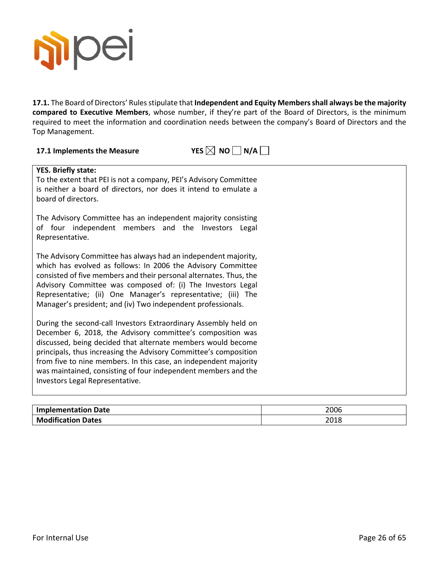

17.1. The Board of Directors' Rules stipulate that Independent and Equity Members shall always be the majority **compared to Executive Members**, whose number, if they're part of the Board of Directors, is the minimum required to meet the information and coordination needs between the company's Board of Directors and the Top Management.

# **17.1 Implements the Measure**  $YES \boxtimes NO \square N/A \square$

| <b>YES. Briefly state:</b><br>To the extent that PEI is not a company, PEI's Advisory Committee<br>is neither a board of directors, nor does it intend to emulate a<br>board of directors.                                                                                                                                                                                                                                                 |
|--------------------------------------------------------------------------------------------------------------------------------------------------------------------------------------------------------------------------------------------------------------------------------------------------------------------------------------------------------------------------------------------------------------------------------------------|
| The Advisory Committee has an independent majority consisting<br>of four independent members and the Investors Legal<br>Representative.                                                                                                                                                                                                                                                                                                    |
| The Advisory Committee has always had an independent majority,<br>which has evolved as follows: In 2006 the Advisory Committee<br>consisted of five members and their personal alternates. Thus, the<br>Advisory Committee was composed of: (i) The Investors Legal<br>Representative; (ii) One Manager's representative; (iii) The<br>Manager's president; and (iv) Two independent professionals.                                        |
| During the second-call Investors Extraordinary Assembly held on<br>December 6, 2018, the Advisory committee's composition was<br>discussed, being decided that alternate members would become<br>principals, thus increasing the Advisory Committee's composition<br>from five to nine members. In this case, an independent majority<br>was maintained, consisting of four independent members and the<br>Investors Legal Representative. |

| <b>Implementation Date</b> | 2006 |
|----------------------------|------|
| <b>Modification Dates</b>  | 2018 |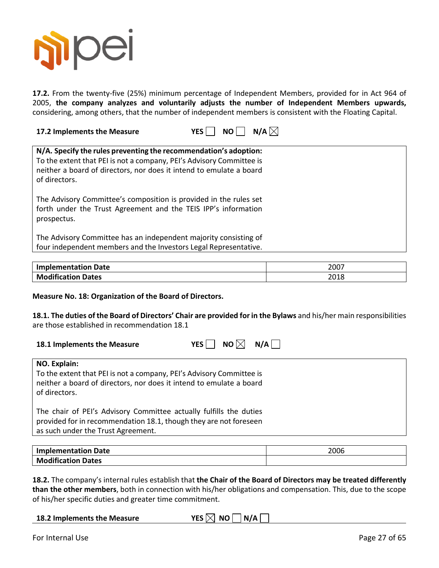

**17.2.** From the twenty-five (25%) minimum percentage of Independent Members, provided for in Act 964 of 2005, **the company analyzes and voluntarily adjusts the number of Independent Members upwards,**  considering, among others, that the number of independent members is consistent with the Floating Capital.

**17.2 Implements the Measure YES NO N/A** $\boxtimes$ 

| N/A. Specify the rules preventing the recommendation's adoption:<br>To the extent that PEI is not a company, PEI's Advisory Committee is<br>neither a board of directors, nor does it intend to emulate a board<br>of directors. |  |
|----------------------------------------------------------------------------------------------------------------------------------------------------------------------------------------------------------------------------------|--|
| The Advisory Committee's composition is provided in the rules set<br>forth under the Trust Agreement and the TEIS IPP's information<br>prospectus.                                                                               |  |
| The Advisory Committee has an independent majority consisting of<br>four independent members and the Investors Legal Representative.                                                                                             |  |

| Implementation Date       | 2007          |
|---------------------------|---------------|
| <b>Modification Dates</b> | วกา c<br>∠∪⊥c |

#### **Measure No. 18: Organization of the Board of Directors.**

**18.1. The duties of the Board of Directors' Chair are provided for in the Bylaws** and his/her main responsibilities are those established in recommendation 18.1

| 18.1 Implements the Measure | YES $\Box$ NO $\boxtimes$ N/A $\Box$ |  |
|-----------------------------|--------------------------------------|--|
|                             |                                      |  |

| NO. Explain:<br>To the extent that PEI is not a company, PEI's Advisory Committee is<br>neither a board of directors, nor does it intend to emulate a board<br>of directors.  |
|-------------------------------------------------------------------------------------------------------------------------------------------------------------------------------|
| The chair of PEI's Advisory Committee actually fulfills the duties<br>provided for in recommendation 18.1, though they are not foreseen<br>as such under the Trust Agreement. |

| <b>Implementation Date</b> | 2006 |
|----------------------------|------|
| <b>Modification Dates</b>  |      |

**18.2.** The company's internal rules establish that **the Chair of the Board of Directors may be treated differently than the other members**, both in connection with his/her obligations and compensation. This, due to the scope of his/her specific duties and greater time commitment.

| 18.2 Implements the Measure | YES $\boxtimes$ NO $\Box$ N/A $\Box$ |
|-----------------------------|--------------------------------------|
|-----------------------------|--------------------------------------|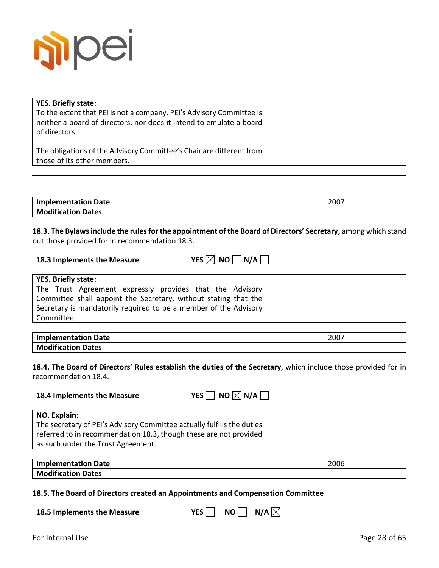

#### **YES. Briefly state:**

To the extent that PEI is not a company, PEI's Advisory Committee is neither a board of directors, nor does it intend to emulate a board of directors.

The obligations of the Advisory Committee's Chair are different from those of its other members.

| <b>Implementation Date</b> | 2007 |
|----------------------------|------|
| <b>Modification Dates</b>  |      |

**18.3. The Bylawsinclude the rules for the appointment of the Board of Directors' Secretary,** among which stand out those provided for in recommendation 18.3.

| 18.3 Implements the Measure | YES $\boxtimes$ NO $\Box$ N/A |
|-----------------------------|-------------------------------|
|-----------------------------|-------------------------------|

#### **YES. Briefly state:**

**18.4 Implements the Measure** 

The Trust Agreement expressly provides that the Advisory Committee shall appoint the Secretary, without stating that the Secretary is mandatorily required to be a member of the Advisory Committee.

| <b>Implementation Date</b> | 2007 |
|----------------------------|------|
| <b>Modification Dates</b>  |      |

**18.4. The Board of Directors' Rules establish the duties of the Secretary**, which include those provided for in recommendation 18.4.

|  | YES $\Box$ NO $\boxtimes$ N/A |
|--|-------------------------------|
|--|-------------------------------|

| NO. Explain:                                                           |
|------------------------------------------------------------------------|
| The secretary of PEI's Advisory Committee actually fulfills the duties |
| referred to in recommendation 18.3, though these are not provided      |
| as such under the Trust Agreement.                                     |
|                                                                        |

| 'Implementation Date      | 2006 |
|---------------------------|------|
| <b>Modification Dates</b> |      |

#### **18.5. The Board of Directors created an Appointments and Compensation Committee**

| 18.5 Implements the Measure | YES $\Box$ NO $\Box$ N/A $\boxtimes$ |  |  |
|-----------------------------|--------------------------------------|--|--|
|-----------------------------|--------------------------------------|--|--|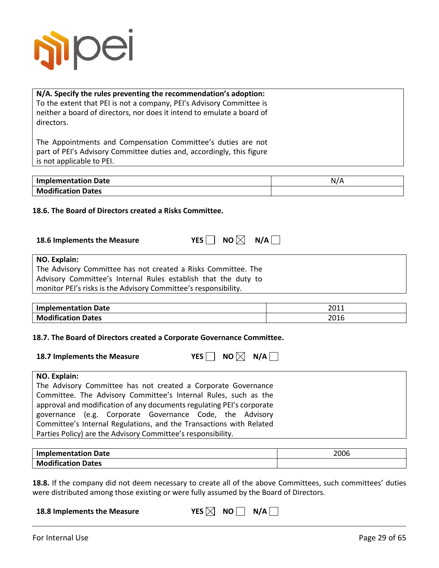

### **N/A. Specify the rules preventing the recommendation's adoption:** To the extent that PEI is not a company, PEI's Advisory Committee is neither a board of directors, nor does it intend to emulate a board of directors.

The Appointments and Compensation Committee's duties are not part of PEI's Advisory Committee duties and, accordingly, this figure is not applicable to PEI.

| <b>Implementation Date</b> | N/A |
|----------------------------|-----|
| <b>Modification Dates</b>  |     |
|                            |     |

#### **18.6. The Board of Directors created a Risks Committee.**

| 18.6 Implements the Measure |  | YES $\Box$ NO $\boxtimes$ N/A |  |
|-----------------------------|--|-------------------------------|--|
|-----------------------------|--|-------------------------------|--|

|  | o I×<br>N( |  | N/A |  |
|--|------------|--|-----|--|
|  |            |  |     |  |

| NO. Explain:                                                    |
|-----------------------------------------------------------------|
| The Advisory Committee has not created a Risks Committee. The   |
| Advisory Committee's Internal Rules establish that the duty to  |
| monitor PEI's risks is the Advisory Committee's responsibility. |

| <b>Implementation Date</b> | วก11<br>∠∪⊥⊥ |
|----------------------------|--------------|
| <b>Modification Dates</b>  | 2016         |

#### **18.7. The Board of Directors created a Corporate Governance Committee.**

| 18.7 Implements the Measure | YES $\Box$ NO $\boxtimes$ N/A $\Box$ |  |
|-----------------------------|--------------------------------------|--|
|                             |                                      |  |

#### **NO. Explain:**

The Advisory Committee has not created a Corporate Governance Committee. The Advisory Committee's Internal Rules, such as the approval and modification of any documents regulating PEI's corporate governance (e.g. Corporate Governance Code, the Advisory Committee's Internal Regulations, and the Transactions with Related Parties Policy) are the Advisory Committee's responsibility.

| <b>Implementation Date</b> | 2006 |
|----------------------------|------|
| <b>Modification Dates</b>  |      |

**18.8.** If the company did not deem necessary to create all of the above Committees, such committees' duties were distributed among those existing or were fully assumed by the Board of Directors.

| 18.8 Implements the Measure | YES $\boxtimes$ NO $\Box$ N/A $\Box$ |  |  |  |
|-----------------------------|--------------------------------------|--|--|--|
|-----------------------------|--------------------------------------|--|--|--|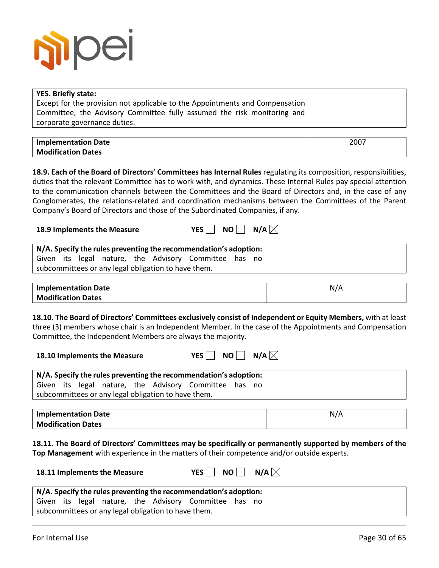

| <b>YES. Briefly state:</b>                                                                                                                                                                                                                                                                                                                                                                                                                                                                                                                     |                 |
|------------------------------------------------------------------------------------------------------------------------------------------------------------------------------------------------------------------------------------------------------------------------------------------------------------------------------------------------------------------------------------------------------------------------------------------------------------------------------------------------------------------------------------------------|-----------------|
| Except for the provision not applicable to the Appointments and Compensation                                                                                                                                                                                                                                                                                                                                                                                                                                                                   |                 |
| Committee, the Advisory Committee fully assumed the risk monitoring and                                                                                                                                                                                                                                                                                                                                                                                                                                                                        |                 |
| corporate governance duties.                                                                                                                                                                                                                                                                                                                                                                                                                                                                                                                   |                 |
|                                                                                                                                                                                                                                                                                                                                                                                                                                                                                                                                                |                 |
| <b>Implementation Date</b>                                                                                                                                                                                                                                                                                                                                                                                                                                                                                                                     | 2007            |
| <b>Modification Dates</b>                                                                                                                                                                                                                                                                                                                                                                                                                                                                                                                      |                 |
| <b>18.9. Each of the Board of Directors' Committees has Internal Rules</b> regulating its composition, responsibilities,<br>duties that the relevant Committee has to work with, and dynamics. These Internal Rules pay special attention<br>to the communication channels between the Committees and the Board of Directors and, in the case of any<br>Conglomerates, the relations-related and coordination mechanisms between the Committees of the Parent<br>Company's Board of Directors and those of the Subordinated Companies, if any. |                 |
| N/A $\boxtimes$<br>$NO$    <br>YES<br>18.9 Implements the Measure                                                                                                                                                                                                                                                                                                                                                                                                                                                                              |                 |
| N/A. Specify the rules preventing the recommendation's adoption:<br>Given its legal nature, the Advisory Committee has no                                                                                                                                                                                                                                                                                                                                                                                                                      |                 |
| subcommittees or any legal obligation to have them.                                                                                                                                                                                                                                                                                                                                                                                                                                                                                            |                 |
|                                                                                                                                                                                                                                                                                                                                                                                                                                                                                                                                                |                 |
| <b>Implementation Date</b>                                                                                                                                                                                                                                                                                                                                                                                                                                                                                                                     | N/A             |
| <b>Modification Dates</b>                                                                                                                                                                                                                                                                                                                                                                                                                                                                                                                      |                 |
| <b>18.10. The Board of Directors' Committees exclusively consist of Independent or Equity Members,</b> with at least<br>three (3) members whose chair is an Independent Member. In the case of the Appointments and Compensation<br>Committee, the Independent Members are always the majority.<br>NO $\Box$ N/A $\boxtimes$<br>$YES$    <br>18.10 Implements the Measure                                                                                                                                                                      |                 |
| N/A. Specify the rules preventing the recommendation's adoption:                                                                                                                                                                                                                                                                                                                                                                                                                                                                               |                 |
| Given its legal nature, the Advisory Committee has no<br>subcommittees or any legal obligation to have them.                                                                                                                                                                                                                                                                                                                                                                                                                                   |                 |
| <b>Implementation Date</b>                                                                                                                                                                                                                                                                                                                                                                                                                                                                                                                     | N/A             |
| <b>Modification Dates</b>                                                                                                                                                                                                                                                                                                                                                                                                                                                                                                                      |                 |
| 18.11. The Board of Directors' Committees may be specifically or permanently supported by members of the<br>Top Management with experience in the matters of their competence and/or outside experts.<br>$NO$    <br>$YES$    <br>18.11 Implements the Measure                                                                                                                                                                                                                                                                                 | N/A $\boxtimes$ |
| N/A. Specify the rules preventing the recommendation's adoption:                                                                                                                                                                                                                                                                                                                                                                                                                                                                               |                 |
| Given its legal nature, the Advisory Committee has no                                                                                                                                                                                                                                                                                                                                                                                                                                                                                          |                 |
| subcommittees or any legal obligation to have them.                                                                                                                                                                                                                                                                                                                                                                                                                                                                                            |                 |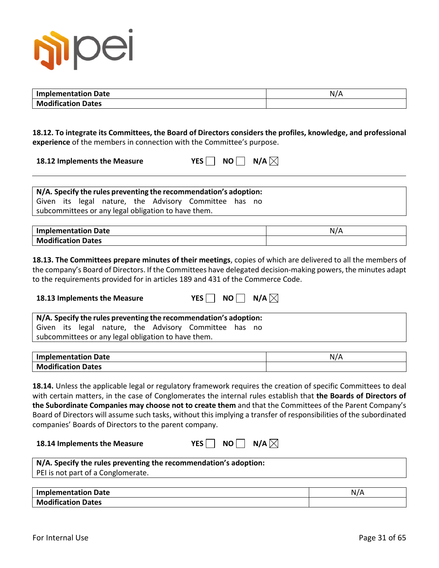

| <b>Implementation Date</b> | N/A |
|----------------------------|-----|
| <b>Modification Dates</b>  |     |

**18.12. To integrate its Committees, the Board of Directors considers the profiles, knowledge, and professional experience** of the members in connection with the Committee's purpose.

| 18.12 Implements the Measure | YES $\Box$ NO $\Box$ N/A $\boxtimes$ |  |  |
|------------------------------|--------------------------------------|--|--|
|------------------------------|--------------------------------------|--|--|

### **N/A. Specify the rules preventing the recommendation's adoption:**

Given its legal nature, the Advisory Committee has no subcommittees or any legal obligation to have them.

| <b>Implementation Date</b> | N |
|----------------------------|---|
| <b>Modification Dates</b>  |   |

**18.13. The Committees prepare minutes of their meetings**, copies of which are delivered to all the members of the company's Board of Directors. If the Committees have delegated decision-making powers, the minutes adapt to the requirements provided for in articles 189 and 431 of the Commerce Code.

| 18.13 Implements the Measure                                     | $NO$   $N/A$ $\boxtimes$<br>YES |
|------------------------------------------------------------------|---------------------------------|
| N/A. Specify the rules preventing the recommendation's adoption: |                                 |
| Given its legal nature, the Advisory Committee has no            |                                 |
| subcommittees or any legal obligation to have them.              |                                 |

| <b>Implementation Date</b> | N |
|----------------------------|---|
| <b>Modification Dates</b>  |   |

**18.14.** Unless the applicable legal or regulatory framework requires the creation of specific Committees to deal with certain matters, in the case of Conglomerates the internal rules establish that **the Boards of Directors of the Subordinate Companies may choose not to create them** and that the Committees of the Parent Company's Board of Directors will assume such tasks, without this implying a transfer of responsibilities of the subordinated companies' Boards of Directors to the parent company.

| 18.14 Implements the Measure |  |  | YES $\Box$ NO $\Box$ N/A $\boxtimes$ |
|------------------------------|--|--|--------------------------------------|
|------------------------------|--|--|--------------------------------------|

| N/A. Specify the rules preventing the recommendation's adoption: |
|------------------------------------------------------------------|
| PEI is not part of a Conglomerate.                               |
|                                                                  |

| <b>Implementation Date</b> | -N/A |
|----------------------------|------|
| <b>Modification Dates</b>  |      |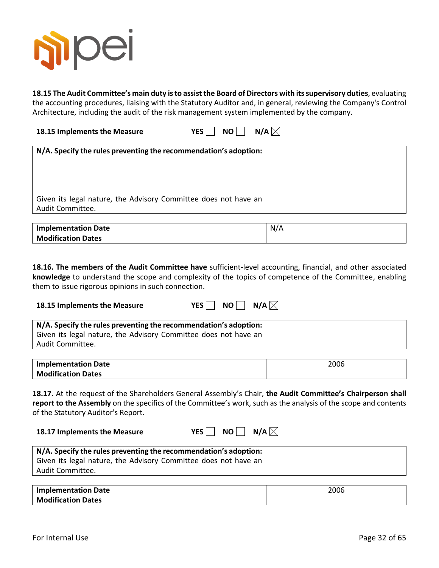

**18.15 The Audit Committee's main duty is to assist the Board of Directors with its supervisory duties**, evaluating the accounting procedures, liaising with the Statutory Auditor and, in general, reviewing the Company's Control Architecture, including the audit of the risk management system implemented by the company.

| 18.15 Implements the Measure | YES $\Box$ NO $\Box$ N/A $\boxtimes$ |  |
|------------------------------|--------------------------------------|--|
|                              |                                      |  |

| N/A. Specify the rules preventing the recommendation's adoption:                    |
|-------------------------------------------------------------------------------------|
| Given its legal nature, the Advisory Committee does not have an<br>Audit Committee. |

| <b>Implementation Date</b> | N/A |
|----------------------------|-----|
| <b>Modification Dates</b>  |     |

**18.16. The members of the Audit Committee have** sufficient-level accounting, financial, and other associated **knowledge** to understand the scope and complexity of the topics of competence of the Committee, enabling them to issue rigorous opinions in such connection.

| 18.15 Implements the Measure |  |  | YES $\Box$ NO $\Box$ N/A $\boxtimes$ |
|------------------------------|--|--|--------------------------------------|
|------------------------------|--|--|--------------------------------------|

| N/A. Specify the rules preventing the recommendation's adoption: |  |
|------------------------------------------------------------------|--|
| Given its legal nature, the Advisory Committee does not have an  |  |
| Audit Committee.                                                 |  |

| <b>Implementation Date</b> | 2006 |
|----------------------------|------|
| <b>Modification Dates</b>  |      |

**18.17.** At the request of the Shareholders General Assembly's Chair, **the Audit Committee's Chairperson shall report to the Assembly** on the specifics of the Committee's work, such as the analysis of the scope and contents of the Statutory Auditor's Report.

| 18.17 Implements the Measure | YES $\Box$ NO $\Box$ N/A $\boxtimes$ |  |
|------------------------------|--------------------------------------|--|
|------------------------------|--------------------------------------|--|

| N/A. Specify the rules preventing the recommendation's adoption: |  |
|------------------------------------------------------------------|--|
| Given its legal nature, the Advisory Committee does not have an  |  |
| Audit Committee.                                                 |  |

| <b>Implementation Date</b> | 2006 |
|----------------------------|------|
| <b>Modification Dates</b>  |      |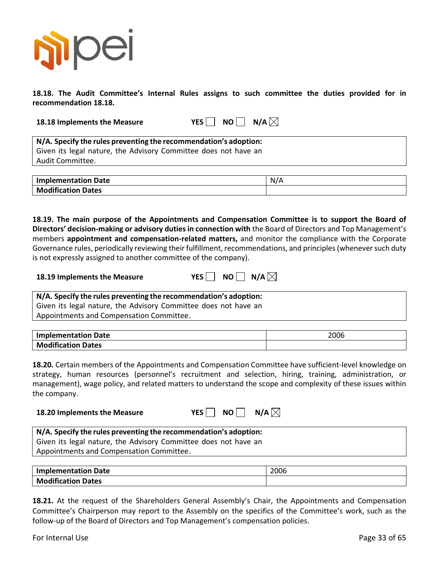

**18.18. The Audit Committee's Internal Rules assigns to such committee the duties provided for in recommendation 18.18.**

**18.18 Implements the Measure YES NO N/A** $\boxtimes$ 

**N/A. Specify the rules preventing the recommendation's adoption:** Given its legal nature, the Advisory Committee does not have an Audit Committee.

| <b>Implementation Date</b>   | N/A |
|------------------------------|-----|
| Modification<br><b>Dates</b> |     |

**18.19. The main purpose of the Appointments and Compensation Committee is to support the Board of Directors' decision-making or advisory dutiesin connection with** the Board of Directors and Top Management's members **appointment and compensation-related matters,** and monitor the compliance with the Corporate Governance rules, periodically reviewing their fulfillment, recommendations, and principles (whenever such duty is not expressly assigned to another committee of the company).

| 18.19 Implements the Measure |  |  | YES $\Box$ NO $\Box$ N/A $\boxtimes$ |
|------------------------------|--|--|--------------------------------------|
|------------------------------|--|--|--------------------------------------|

**N/A. Specify the rules preventing the recommendation's adoption:** Given its legal nature, the Advisory Committee does not have an Appointments and Compensation Committee.

| <b>Implementation Date</b> | 2006 |
|----------------------------|------|
| <b>Modification Dates</b>  |      |

**18.20.** Certain members of the Appointments and Compensation Committee have sufficient-level knowledge on strategy, human resources (personnel's recruitment and selection, hiring, training, administration, or management), wage policy, and related matters to understand the scope and complexity of these issues within the company.

| $YES \Box NO$ |  | $\Box$ N/A $\boxtimes$ |
|---------------|--|------------------------|
|---------------|--|------------------------|

| N/A. Specify the rules preventing the recommendation's adoption: |  |
|------------------------------------------------------------------|--|
| Given its legal nature, the Advisory Committee does not have an  |  |
| Appointments and Compensation Committee.                         |  |

| <b>Implementation Date</b> | 2006 |
|----------------------------|------|
| <b>Modification Dates</b>  |      |

**18.21.** At the request of the Shareholders General Assembly's Chair, the Appointments and Compensation Committee's Chairperson may report to the Assembly on the specifics of the Committee's work, such as the follow-up of the Board of Directors and Top Management's compensation policies.

For Internal Use Page 33 of 65

**18.20 Implements the Measure**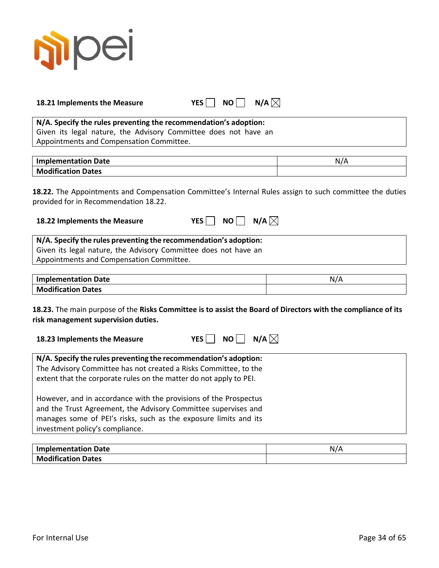

| 18.21 Implements the Measure |  | YES $\Box$ NO $\Box$ N/A |  |
|------------------------------|--|--------------------------|--|
|------------------------------|--|--------------------------|--|

# **N/A. Specify the rules preventing the recommendation's adoption:**

Given its legal nature, the Advisory Committee does not have an Appointments and Compensation Committee.

| <b>Implementation Date</b> |  |
|----------------------------|--|
| <b>Modification Dates</b>  |  |

**18.22.** The Appointments and Compensation Committee's Internal Rules assign to such committee the duties provided for in Recommendation 18.22.

| 18.22 Implements the Measure | YES $\Box$ NO $\Box$ N/A $\boxtimes$ |  |
|------------------------------|--------------------------------------|--|
|------------------------------|--------------------------------------|--|

| N/A. Specify the rules preventing the recommendation's adoption: |  |
|------------------------------------------------------------------|--|
| Given its legal nature, the Advisory Committee does not have an  |  |
| Appointments and Compensation Committee.                         |  |

| <b>Implementation Date</b> | N/f |
|----------------------------|-----|
| <b>Modification Dates</b>  |     |

**18.23.** The main purpose of the **Risks Committee is to assist the Board of Directors with the compliance of its risk management supervision duties.**

| 18.23 Implements the Measure | YES $\Box$ NO $\Box$ N/A $\boxtimes$ |  |  |
|------------------------------|--------------------------------------|--|--|
|------------------------------|--------------------------------------|--|--|

| N/A. Specify the rules preventing the recommendation's adoption:<br>The Advisory Committee has not created a Risks Committee, to the<br>extent that the corporate rules on the matter do not apply to PEI.                                |
|-------------------------------------------------------------------------------------------------------------------------------------------------------------------------------------------------------------------------------------------|
| However, and in accordance with the provisions of the Prospectus<br>and the Trust Agreement, the Advisory Committee supervises and<br>manages some of PEI's risks, such as the exposure limits and its<br>investment policy's compliance. |

| <b>Implementation Date</b> |  |
|----------------------------|--|
| <b>Modification Dates</b>  |  |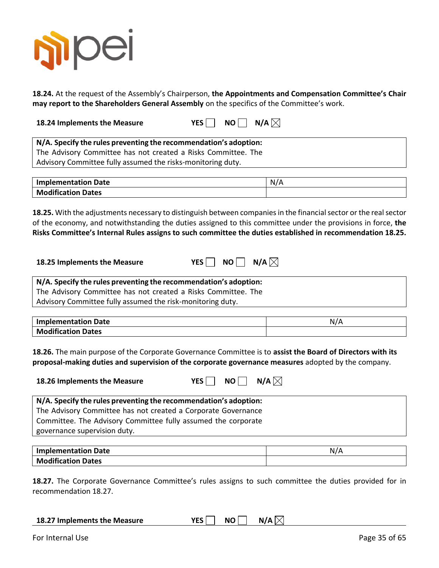

**18.24.** At the request of the Assembly's Chairperson, **the Appointments and Compensation Committee's Chair may report to the Shareholders General Assembly** on the specifics of the Committee's work.

**18.24 Implements the Measure YES** NO N/A  $\boxtimes$ 

**N/A. Specify the rules preventing the recommendation's adoption:** The Advisory Committee has not created a Risks Committee. The Advisory Committee fully assumed the risks-monitoring duty.

| <b>Implementation Date</b> |  |
|----------------------------|--|
| <b>Modification Dates</b>  |  |

**18.25.** With the adjustments necessary to distinguish between companies in the financial sector or the real sector of the economy, and notwithstanding the duties assigned to this committee under the provisions in force, **the Risks Committee's Internal Rules assigns to such committee the duties established in recommendation 18.25.**

| 18.25 Implements the Measure | YES $\Box$ NO $\Box$ N/A $\boxtimes$ |  |
|------------------------------|--------------------------------------|--|
|------------------------------|--------------------------------------|--|

**N/A. Specify the rules preventing the recommendation's adoption:** The Advisory Committee has not created a Risks Committee. The Advisory Committee fully assumed the risk-monitoring duty.

| Implementation Date       | N. |
|---------------------------|----|
| <b>Modification Dates</b> |    |

**18.26.** The main purpose of the Corporate Governance Committee is to **assist the Board of Directors with its proposal-making duties and supervision of the corporate governance measures** adopted by the company.

| 18.26 Implements the Measure                                     | N/A $\boxtimes$<br>NO II<br>YES I |  |
|------------------------------------------------------------------|-----------------------------------|--|
| N/A. Specify the rules preventing the recommendation's adoption: |                                   |  |
| The Advisory Committee has not created a Corporate Governance    |                                   |  |
| Committee. The Advisory Committee fully assumed the corporate    |                                   |  |
| governance supervision duty.                                     |                                   |  |
|                                                                  |                                   |  |

| <b>Implementation Date</b> | N/A |
|----------------------------|-----|
| <b>Modification Dates</b>  |     |

**18.27.** The Corporate Governance Committee's rules assigns to such committee the duties provided for in recommendation 18.27.

| 18.27 Implements the Measure | YES NO N/A $\boxtimes$ |  |
|------------------------------|------------------------|--|
|                              |                        |  |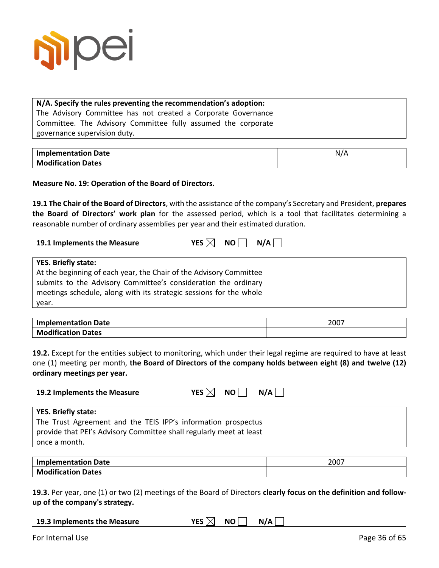

#### **N/A. Specify the rules preventing the recommendation's adoption:** The Advisory Committee has not created a Corporate Governance

Committee. The Advisory Committee fully assumed the corporate governance supervision duty.

| <b>Implementation Date</b> |  |
|----------------------------|--|
| <b>Modification Dates</b>  |  |

**Measure No. 19: Operation of the Board of Directors.**

**19.1 The Chair of the Board of Directors**, with the assistance of the company's Secretary and President, **prepares the Board of Directors' work plan** for the assessed period, which is a tool that facilitates determining a reasonable number of ordinary assemblies per year and their estimated duration.

| 19.1 Implements the Measure | YES $\boxtimes$ NO $\Box$ N/A $\Box$ |  |  |
|-----------------------------|--------------------------------------|--|--|
|-----------------------------|--------------------------------------|--|--|

| <b>YES. Briefly state:</b>                                         |
|--------------------------------------------------------------------|
| At the beginning of each year, the Chair of the Advisory Committee |
| submits to the Advisory Committee's consideration the ordinary     |
| meetings schedule, along with its strategic sessions for the whole |
| year.                                                              |

| <b>Implementation Date</b> | 2007 |
|----------------------------|------|
| <b>Modification Dates</b>  |      |

**19.2.** Except for the entities subject to monitoring, which under their legal regime are required to have at least one (1) meeting per month, **the Board of Directors of the company holds between eight (8) and twelve (12) ordinary meetings per year.**

| 19.2 Implements the Measure                                                          | YES $\boxtimes$ NO $\Box$<br>N/A |
|--------------------------------------------------------------------------------------|----------------------------------|
| <b>YES. Briefly state:</b>                                                           |                                  |
| The Trust Agreement and the TEIS IPP's information prospectus                        |                                  |
| provide that PEI's Advisory Committee shall regularly meet at least<br>once a month. |                                  |

| <b>Implementation Date</b> | 2007 |
|----------------------------|------|
| <b>Modification Dates</b>  |      |

**19.3.** Per year, one (1) or two (2) meetings of the Board of Directors **clearly focus on the definition and followup of the company's strategy.**

| 19.3 Implements the Measure | YES $\boxtimes$ NO $\Box$ N/A |  |
|-----------------------------|-------------------------------|--|
|-----------------------------|-------------------------------|--|

For Internal Use Page 36 of 65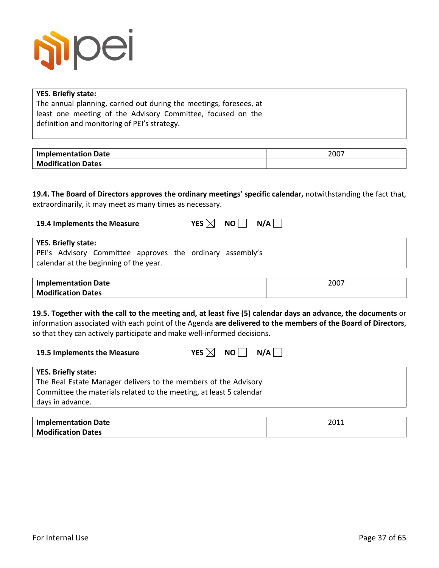

| <b>YES. Briefly state:</b>                                                                                                                                                 |      |
|----------------------------------------------------------------------------------------------------------------------------------------------------------------------------|------|
| The annual planning, carried out during the meetings, foresees, at                                                                                                         |      |
| least one meeting of the Advisory Committee, focused on the                                                                                                                |      |
| definition and monitoring of PEI's strategy.                                                                                                                               |      |
|                                                                                                                                                                            |      |
| <b>Implementation Date</b>                                                                                                                                                 | 2007 |
| <b>Modification Dates</b>                                                                                                                                                  |      |
| 19.4. The Board of Directors approves the ordinary meetings' specific calendar, notwithstanding the fact that,<br>extraordinarily, it may meet as many times as necessary. |      |
| YES $\boxtimes$<br>NO  <br>19.4 Implements the Measure<br><b>YES. Briefly state:</b>                                                                                       | N/A  |
| PEI's Advisory Committee approves the ordinary assembly's                                                                                                                  |      |
| calendar at the beginning of the year.                                                                                                                                     |      |
| <b>Implementation Date</b>                                                                                                                                                 | 2007 |

so that they can actively participate and make well-informed decisions.

| 19.5 Implements the Measure | YES $\boxtimes$ NO $\Box$ N/A $\Box$ |  |  |  |
|-----------------------------|--------------------------------------|--|--|--|
|-----------------------------|--------------------------------------|--|--|--|

| <b>YES. Briefly state:</b>                                          |
|---------------------------------------------------------------------|
| The Real Estate Manager delivers to the members of the Advisory     |
| Committee the materials related to the meeting, at least 5 calendar |
| days in advance.                                                    |
|                                                                     |

| <b>Implementation Date</b> | 2011 |
|----------------------------|------|
| <b>Modification Dates</b>  |      |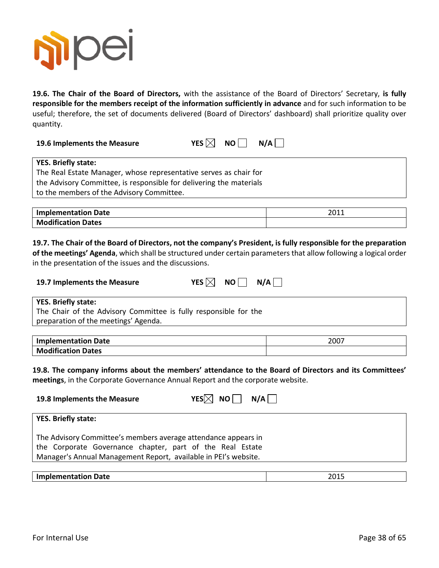

**19.6. The Chair of the Board of Directors,** with the assistance of the Board of Directors' Secretary, **is fully responsible for the members receipt of the information sufficiently in advance** and for such information to be useful; therefore, the set of documents delivered (Board of Directors' dashboard) shall prioritize quality over quantity.

| 19.6 Implements the Measure | YES $\boxtimes$ NO $\Box$ N/A $\Box$ |  |
|-----------------------------|--------------------------------------|--|
|                             |                                      |  |

| <b>YES. Briefly state:</b>                                          |
|---------------------------------------------------------------------|
| The Real Estate Manager, whose representative serves as chair for   |
| the Advisory Committee, is responsible for delivering the materials |
| to the members of the Advisory Committee.                           |
|                                                                     |

| <b>Implementation Date</b> | 2011 |
|----------------------------|------|
| <b>Modification Dates</b>  |      |

# **19.7. The Chair of the Board of Directors, not the company's President, is fully responsible for the preparation**

**of the meetings' Agenda**, which shall be structured under certain parameters that allow following a logical order in the presentation of the issues and the discussions.

| 19.7 Implements the Measure | YES $\boxtimes$ |
|-----------------------------|-----------------|
|-----------------------------|-----------------|

 $NO \n\n $\bigcap$  N/A \n $\bigcap$$ 

**YES. Briefly state:**

The Chair of the Advisory Committee is fully responsible for the preparation of the meetings' Agenda.

| Implementation Date       | 2007 |
|---------------------------|------|
| <b>Modification Dates</b> |      |

**19.8. The company informs about the members' attendance to the Board of Directors and its Committees' meetings**, in the Corporate Governance Annual Report and the corporate website.

| 19.8 Implements the Measure                                                                                                                                                                    | $YES[\times]$ NO $\parallel$ N/A $\parallel$ |
|------------------------------------------------------------------------------------------------------------------------------------------------------------------------------------------------|----------------------------------------------|
| <b>YES. Briefly state:</b>                                                                                                                                                                     |                                              |
| The Advisory Committee's members average attendance appears in<br>the Corporate Governance chapter, part of the Real Estate<br>Manager's Annual Management Report, available in PEI's website. |                                              |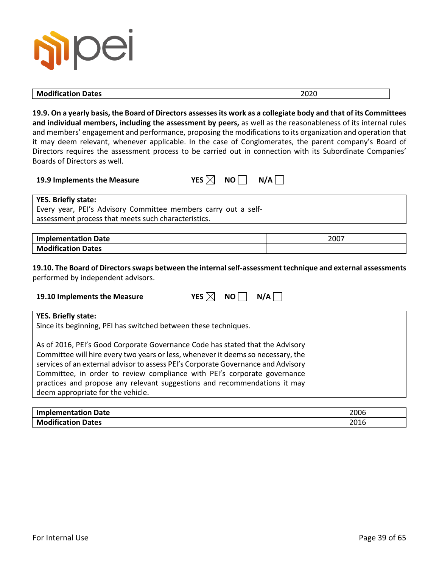| <b>PJIDE</b><br>$\overline{\phantom{0}}$ |      |  |
|------------------------------------------|------|--|
| <b>Modification Dates</b>                | 2020 |  |

**19.9. On a yearly basis, the Board of Directors assessesits work as a collegiate body and that of its Committees and individual members, including the assessment by peers,** as well as the reasonableness of its internal rules and members' engagement and performance, proposing the modifications to its organization and operation that it may deem relevant, whenever applicable. In the case of Conglomerates, the parent company's Board of Directors requires the assessment process to be carried out in connection with its Subordinate Companies' Boards of Directors as well.

| YES $\boxtimes$ NO $\Box$ N/A |
|-------------------------------|
|                               |

| M<br>ES | NΟ | N/A |
|---------|----|-----|
|---------|----|-----|

**YES. Briefly state:**

Every year, PEI's Advisory Committee members carry out a selfassessment process that meets such characteristics.

#### **Implementation Date** 2007 **Modification Dates**

**19.10. The Board of Directors swaps between the internal self-assessment technique and external assessments** performed by independent advisors.

| 19.10 Implements the Measure | YES $\boxtimes$ NO $\Box$ N/A |  |
|------------------------------|-------------------------------|--|

#### **YES. Briefly state:**

Since its beginning, PEI has switched between these techniques.

As of 2016, PEI's Good Corporate Governance Code has stated that the Advisory Committee will hire every two years or less, whenever it deems so necessary, the services of an external advisor to assess PEI's Corporate Governance and Advisory Committee, in order to review compliance with PEI's corporate governance practices and propose any relevant suggestions and recommendations it may deem appropriate for the vehicle.

| <b>Implementation Date</b> | 2006 |
|----------------------------|------|
| <b>Modification Dates</b>  | 2016 |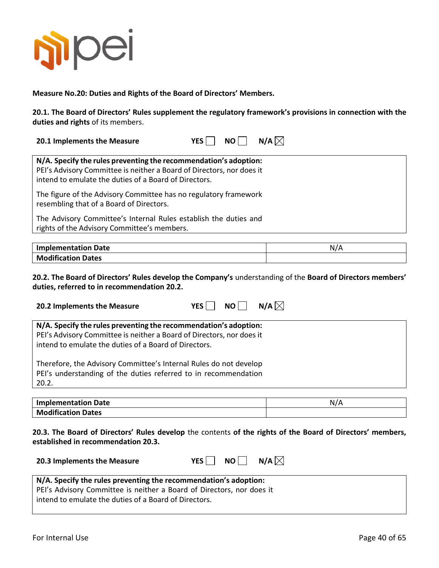

**Measure No.20: Duties and Rights of the Board of Directors' Members.**

**20.1. The Board of Directors' Rules supplement the regulatory framework's provisions in connection with the duties and rights** of its members.

| 20.1 Implements the Measure |  |  | YES $\Box$ NO $\Box$ N/A $\boxtimes$ |
|-----------------------------|--|--|--------------------------------------|
|-----------------------------|--|--|--------------------------------------|

| N/A. Specify the rules preventing the recommendation's adoption:<br>PEI's Advisory Committee is neither a Board of Directors, nor does it<br>intend to emulate the duties of a Board of Directors. |
|----------------------------------------------------------------------------------------------------------------------------------------------------------------------------------------------------|
| The figure of the Advisory Committee has no regulatory framework<br>resembling that of a Board of Directors.                                                                                       |
| The Advisory Committee's Internal Rules establish the duties and<br>rights of the Advisory Committee's members.                                                                                    |

| Implementation Date       | NL |
|---------------------------|----|
| <b>Modification Dates</b> |    |

**20.2. The Board of Directors' Rules develop the Company's** understanding of the **Board of Directors members' duties, referred to in recommendation 20.2.**

| 20.2 Implements the Measure                                                                                                                   | $N/A$ $\times$<br>NO I<br>YES I |
|-----------------------------------------------------------------------------------------------------------------------------------------------|---------------------------------|
| N/A. Specify the rules preventing the recommendation's adoption:                                                                              |                                 |
| PEI's Advisory Committee is neither a Board of Directors, nor does it<br>intend to emulate the duties of a Board of Directors.                |                                 |
| Therefore, the Advisory Committee's Internal Rules do not develop<br>PEI's understanding of the duties referred to in recommendation<br>20.2. |                                 |

| Implementation Date       | N/A |
|---------------------------|-----|
| <b>Modification Dates</b> |     |

**20.3. The Board of Directors' Rules develop** the contents **of the rights of the Board of Directors' members, established in recommendation 20.3.**

| 20.3 Implements the Measure |  |  | YES $\Box$ NO $\Box$ N/A $\boxtimes$ |  |
|-----------------------------|--|--|--------------------------------------|--|
|-----------------------------|--|--|--------------------------------------|--|

#### **N/A. Specify the rules preventing the recommendation's adoption:**

PEI's Advisory Committee is neither a Board of Directors, nor does it intend to emulate the duties of a Board of Directors.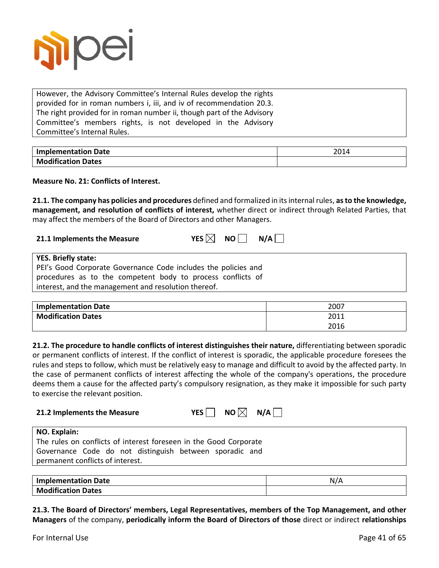

However, the Advisory Committee's Internal Rules develop the rights provided for in roman numbers i, iii, and iv of recommendation 20.3. The right provided for in roman number ii, though part of the Advisory Committee's members rights, is not developed in the Advisory Committee's Internal Rules.

| <b>Implementation Date</b> | 2014 |
|----------------------------|------|
| <b>Modification Dates</b>  |      |

**Measure No. 21: Conflicts of Interest.**

**21.1. The company has policies and procedures** defined and formalized in itsinternal rules, **as to the knowledge, management, and resolution of conflicts of interest,** whether direct or indirect through Related Parties, that may affect the members of the Board of Directors and other Managers.

| 21.1 Implements the Measure | YES $\boxtimes$ NO $\Box$ N/A |  |
|-----------------------------|-------------------------------|--|
|                             |                               |  |

| <b>YES. Briefly state:</b>                                     |
|----------------------------------------------------------------|
| PEI's Good Corporate Governance Code includes the policies and |
| procedures as to the competent body to process conflicts of    |
| interest, and the management and resolution thereof.           |

| <b>Implementation Date</b> | 2007 |
|----------------------------|------|
| <b>Modification Dates</b>  | 2011 |
|                            | 2016 |

**21.2. The procedure to handle conflicts of interest distinguishes their nature,** differentiating between sporadic or permanent conflicts of interest. If the conflict of interest is sporadic, the applicable procedure foresees the rules and steps to follow, which must be relatively easy to manage and difficult to avoid by the affected party. In the case of permanent conflicts of interest affecting the whole of the company's operations, the procedure deems them a cause for the affected party's compulsory resignation, as they make it impossible for such party to exercise the relevant position.

| 21.2 Implements the Measure                                       | NO $\boxtimes$ N/A $\Box$<br>YES I |
|-------------------------------------------------------------------|------------------------------------|
| NO. Explain:                                                      |                                    |
| The rules on conflicts of interest foreseen in the Good Corporate |                                    |
| Governance Code do not distinguish between sporadic and           |                                    |
| permanent conflicts of interest.                                  |                                    |

| <b>Implementation Date</b> | N/A |
|----------------------------|-----|
| <b>Modification Dates</b>  |     |

**21.3. The Board of Directors' members, Legal Representatives, members of the Top Management, and other Managers** of the company, **periodically inform the Board of Directors of those** direct or indirect **relationships**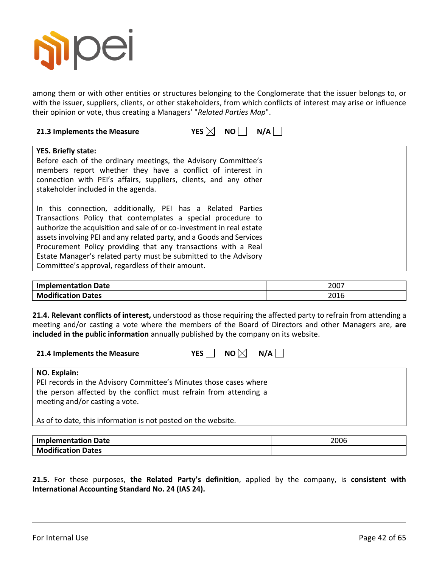

among them or with other entities or structures belonging to the Conglomerate that the issuer belongs to, or with the issuer, suppliers, clients, or other stakeholders, from which conflicts of interest may arise or influence their opinion or vote, thus creating a Managers' "*Related Parties Map*".

| N/A<br>21.3 Implements the Measure<br>YES $\vert$<br><b>NO</b>                                                                                                                                                                                                                                                                                                                                                                                                          |
|-------------------------------------------------------------------------------------------------------------------------------------------------------------------------------------------------------------------------------------------------------------------------------------------------------------------------------------------------------------------------------------------------------------------------------------------------------------------------|
| <b>YES. Briefly state:</b><br>Before each of the ordinary meetings, the Advisory Committee's<br>members report whether they have a conflict of interest in<br>connection with PEI's affairs, suppliers, clients, and any other<br>stakeholder included in the agenda.                                                                                                                                                                                                   |
| In this connection, additionally, PEI has a Related Parties<br>Transactions Policy that contemplates a special procedure to<br>authorize the acquisition and sale of or co-investment in real estate<br>assets involving PEI and any related party, and a Goods and Services<br>Procurement Policy providing that any transactions with a Real<br>Estate Manager's related party must be submitted to the Advisory<br>Committee's approval, regardless of their amount. |

| <b>Implementation Date</b> | 2007 |
|----------------------------|------|
| <b>Modification Dates</b>  | 2016 |

**21.4. Relevant conflicts of interest,** understood as those requiring the affected party to refrain from attending a meeting and/or casting a vote where the members of the Board of Directors and other Managers are, **are included in the public information** annually published by the company on its website.

| 21.4 Implements the Measure | YES $\Box$ NO $\boxtimes$ N/A $\Box$ |  |  |
|-----------------------------|--------------------------------------|--|--|
|-----------------------------|--------------------------------------|--|--|

#### **NO. Explain:**

PEI records in the Advisory Committee's Minutes those cases where the person affected by the conflict must refrain from attending a meeting and/or casting a vote.

As of to date, this information is not posted on the website.

| Implementation Date       | 2006 |
|---------------------------|------|
| <b>Modification Dates</b> |      |

**21.5.** For these purposes, **the Related Party's definition**, applied by the company, is **consistent with International Accounting Standard No. 24 (IAS 24).**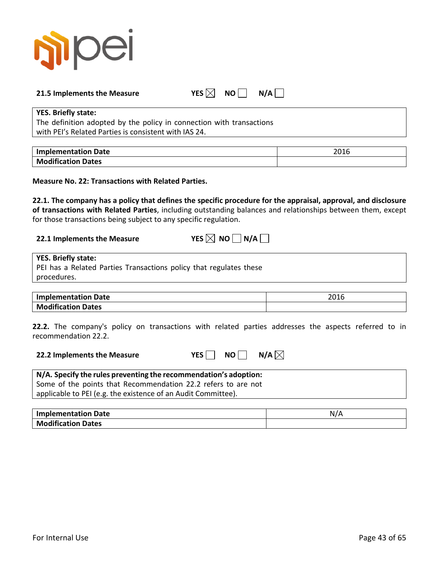

#### **21.5** Implements the Measure YES  $\boxtimes$  NO N/A  $\Box$

#### **YES. Briefly state:**

The definition adopted by the policy in connection with transactions with PEI's Related Parties is consistent with IAS 24.

| <b>Implementation Date</b> | ากาา<br>∠∪⊥∪ |
|----------------------------|--------------|
| <b>Modification Dates</b>  |              |

**Measure No. 22: Transactions with Related Parties.**

**22.1. The company has a policy that defines the specific procedure for the appraisal, approval, and disclosure of transactions with Related Parties**, including outstanding balances and relationships between them, except for those transactions being subject to any specific regulation.

# **22.1** Implements the Measure YES  $\boxtimes$  NO  $\Box$  N/A  $\Box$

| <b>YES. Briefly state:</b>                                         |
|--------------------------------------------------------------------|
| PEI has a Related Parties Transactions policy that regulates these |
| procedures.                                                        |
|                                                                    |

| Implementation Date       | 201<br>2010 |
|---------------------------|-------------|
| <b>Modification Dates</b> |             |

**22.2.** The company's policy on transactions with related parties addresses the aspects referred to in recommendation 22.2.

| 22.2 Implements the Measure |  | YES NO N/A $\boxtimes$ |
|-----------------------------|--|------------------------|
|-----------------------------|--|------------------------|

| N/A. Specify the rules preventing the recommendation's adoption: |  |
|------------------------------------------------------------------|--|
| Some of the points that Recommendation 22.2 refers to are not    |  |
| applicable to PEI (e.g. the existence of an Audit Committee).    |  |

| <b>Implementation Date</b> | N/A |
|----------------------------|-----|
| <b>Modification Dates</b>  |     |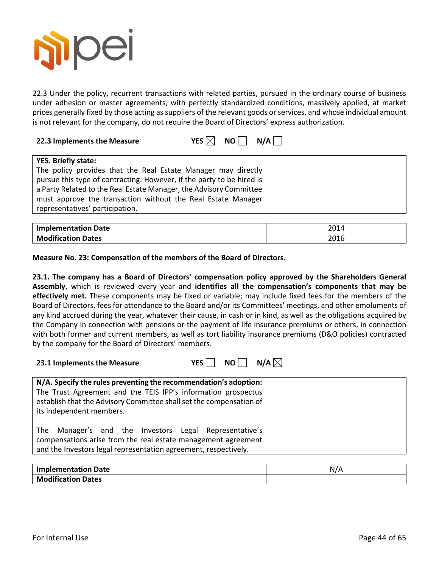

22.3 Under the policy, recurrent transactions with related parties, pursued in the ordinary course of business under adhesion or master agreements, with perfectly standardized conditions, massively applied, at market prices generally fixed by those acting as suppliers of the relevant goods or services, and whose individual amount is not relevant for the company, do not require the Board of Directors' express authorization.

| 22.3 Implements the Measure |  |  | YES $\boxtimes$ NO $\Box$ N/A $\Box$ |
|-----------------------------|--|--|--------------------------------------|
|-----------------------------|--|--|--------------------------------------|

| <b>YES. Briefly state:</b>                                            |
|-----------------------------------------------------------------------|
| The policy provides that the Real Estate Manager may directly         |
| pursue this type of contracting. However, if the party to be hired is |
| a Party Related to the Real Estate Manager, the Advisory Committee    |
| must approve the transaction without the Real Estate Manager          |
| representatives' participation.                                       |

| <b>Implementation Date</b> | 2014 |
|----------------------------|------|
| <b>Modification Dates</b>  | 2016 |

**Measure No. 23: Compensation of the members of the Board of Directors.**

**23.1. The company has a Board of Directors' compensation policy approved by the Shareholders General Assembly**, which is reviewed every year and **identifies all the compensation's components that may be effectively met.** These components may be fixed or variable; may include fixed fees for the members of the Board of Directors, fees for attendance to the Board and/or its Committees' meetings, and other emoluments of any kind accrued during the year, whatever their cause, in cash or in kind, as well as the obligations acquired by the Company in connection with pensions or the payment of life insurance premiums or others, in connection with both former and current members, as well as tort liability insurance premiums (D&O policies) contracted by the company for the Board of Directors' members.



| N/A. Specify the rules preventing the recommendation's adoption:    |
|---------------------------------------------------------------------|
| The Trust Agreement and the TEIS IPP's information prospectus       |
| establish that the Advisory Committee shall set the compensation of |
| its independent members.                                            |
|                                                                     |
| Manager's and the Investors Legal Representative's<br>The           |
| compensations arise from the real estate management agreement       |
| and the Investors legal representation agreement, respectively.     |
|                                                                     |

| <b>Implementation Date</b> |  |
|----------------------------|--|
| <b>Modification Dates</b>  |  |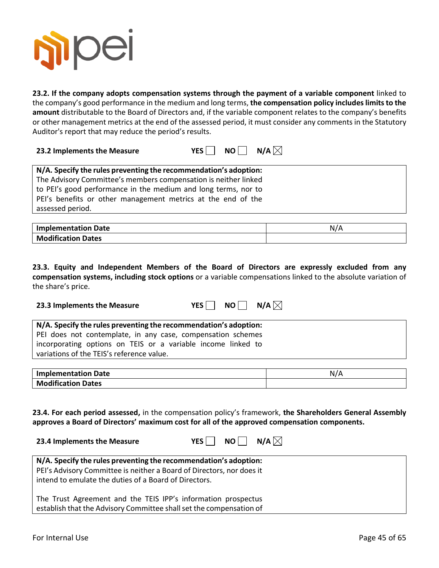

**23.2. If the company adopts compensation systems through the payment of a variable component** linked to the company's good performance in the medium and long terms, the compensation policy includes limits to the **amount** distributable to the Board of Directors and, if the variable component relates to the company's benefits or other management metrics at the end of the assessed period, it must consider any comments in the Statutory Auditor's report that may reduce the period's results.

| 23.2 Implements the Measure | YES $\Box$ NO $\Box$ N/A $\boxtimes$ |  |  |
|-----------------------------|--------------------------------------|--|--|
|-----------------------------|--------------------------------------|--|--|

**23.3 Implements the Measure**  $YES \cap NO \cap N/A$ 

**23.4 Implements the Measure**  $YES \cap NO \cap N/A$ 

| N/A. Specify the rules preventing the recommendation's adoption: |
|------------------------------------------------------------------|
| The Advisory Committee's members compensation is neither linked  |
| to PEI's good performance in the medium and long terms, nor to   |
| PEI's benefits or other management metrics at the end of the     |
| assessed period.                                                 |

| <b>Implementation Date</b> | NI / 1 |
|----------------------------|--------|
| <b>Modification Dates</b>  |        |

**23.3. Equity and Independent Members of the Board of Directors are expressly excluded from any compensation systems, including stock options** or a variable compensations linked to the absolute variation of the share's price.

| N/A. Specify the rules preventing the recommendation's adoption: |
|------------------------------------------------------------------|
| PEI does not contemplate, in any case, compensation schemes      |
| incorporating options on TEIS or a variable income linked to     |
| variations of the TEIS's reference value.                        |
|                                                                  |

| <b>Implementation Date</b> |  |
|----------------------------|--|
| <b>Modification Dates</b>  |  |

**23.4. For each period assessed,** in the compensation policy's framework, **the Shareholders General Assembly approves a Board of Directors' maximum cost for all of the approved compensation components.**

| N/A. Specify the rules preventing the recommendation's adoption:      |  |
|-----------------------------------------------------------------------|--|
| PEI's Advisory Committee is neither a Board of Directors, nor does it |  |
| intend to emulate the duties of a Board of Directors.                 |  |
|                                                                       |  |
| The Trust Agreement and the TEIS IPP's information prospectus         |  |
| establish that the Advisory Committee shall set the compensation of   |  |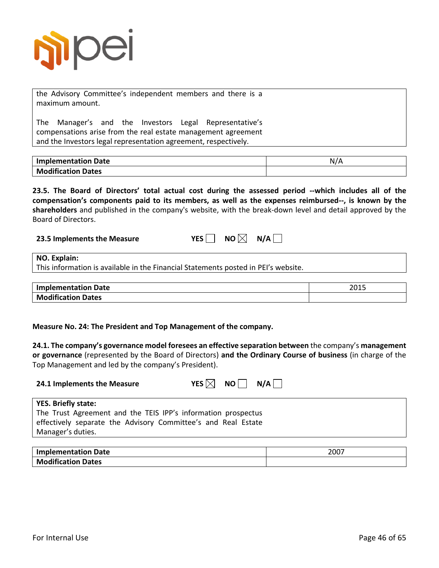

the Advisory Committee's independent members and there is a maximum amount.

The Manager's and the Investors Legal Representative's compensations arise from the real estate management agreement and the Investors legal representation agreement, respectively.

| <b>Implementation Date</b> | N/A |
|----------------------------|-----|
| <b>Modification Dates</b>  |     |

**23.5. The Board of Directors' total actual cost during the assessed period --which includes all of the compensation's components paid to its members, as well as the expenses reimbursed--, is known by the shareholders** and published in the company's website, with the break-down level and detail approved by the Board of Directors.

**23.5 Implements the Measure**  $YES \cap NO \times N$  $N/A \cap$ 

| <b>NO. Explain:</b> |
|---------------------|
|---------------------|

This information is available in the Financial Statements posted in PEI's website.

| <b>Implementation Date</b> | つの1ロ<br>2013 |
|----------------------------|--------------|
| <b>Modification Dates</b>  |              |

**Measure No. 24: The President and Top Management of the company.**

**24.1. The company's governance model foresees an effective separation between** the company's **management or governance** (represented by the Board of Directors) **and the Ordinary Course of business** (in charge of the Top Management and led by the company's President).

| 24.1 Implements the Measure | YES $\boxtimes$ NO N/A |  |
|-----------------------------|------------------------|--|
|                             |                        |  |

| <b>YES. Briefly state:</b>                                    |
|---------------------------------------------------------------|
| The Trust Agreement and the TEIS IPP's information prospectus |
| effectively separate the Advisory Committee's and Real Estate |
| Manager's duties.                                             |
|                                                               |

| <b>Implementation Date</b> | 2007 |
|----------------------------|------|
| <b>Modification Dates</b>  |      |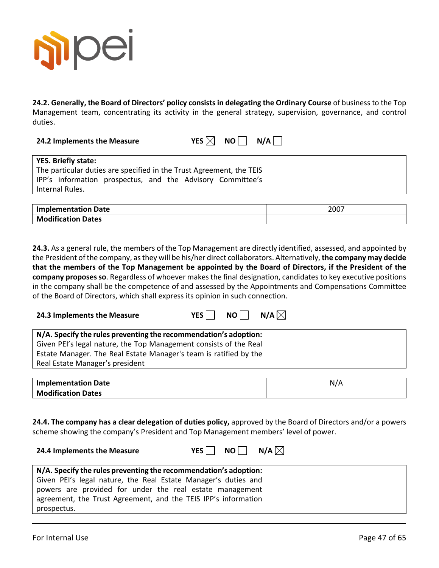

**24.2. Generally, the Board of Directors' policy consists in delegating the Ordinary Course** of business to the Top Management team, concentrating its activity in the general strategy, supervision, governance, and control duties.

**24.2 Implements the Measure MALL STARFS** 

| S $\boxtimes$<br>ΝO | N/A |
|---------------------|-----|
|---------------------|-----|

| <b>YES. Briefly state:</b>                                           |  |
|----------------------------------------------------------------------|--|
| The particular duties are specified in the Trust Agreement, the TEIS |  |
| IPP's information prospectus, and the Advisory Committee's           |  |
| Internal Rules.                                                      |  |
|                                                                      |  |

| <b>Implementation Date</b> | 2007 |
|----------------------------|------|
| <b>Modification Dates</b>  |      |

**24.3.** As a general rule, the members of the Top Management are directly identified, assessed, and appointed by the President of the company, as they will be his/her direct collaborators. Alternatively, **the company may decide that the members of the Top Management be appointed by the Board of Directors, if the President of the company proposes so**. Regardless of whoever makes the final designation, candidates to key executive positions in the company shall be the competence of and assessed by the Appointments and Compensations Committee of the Board of Directors, which shall express its opinion in such connection.

| 24.3 Implements the Measure | YES $\Box$ NO $\Box$ N/A $\boxtimes$ |  |  |
|-----------------------------|--------------------------------------|--|--|
|-----------------------------|--------------------------------------|--|--|

**24.4 Implements the Measure**  $YES \cap NO \cap N/A$ 

| N/A. Specify the rules preventing the recommendation's adoption:  |
|-------------------------------------------------------------------|
| Given PEI's legal nature, the Top Management consists of the Real |
| Estate Manager. The Real Estate Manager's team is ratified by the |
| Real Estate Manager's president                                   |
|                                                                   |

| <b>Implementation Date</b> |  |
|----------------------------|--|
| <b>Modification Dates</b>  |  |

**24.4. The company has a clear delegation of duties policy,** approved by the Board of Directors and/or a powers scheme showing the company's President and Top Management members' level of power.

| $\mid$ N/A. Specify the rules preventing the recommendation's adoption: |  |
|-------------------------------------------------------------------------|--|
| Given PEI's legal nature, the Real Estate Manager's duties and          |  |
| powers are provided for under the real estate management                |  |
| agreement, the Trust Agreement, and the TEIS IPP's information          |  |
| prospectus.                                                             |  |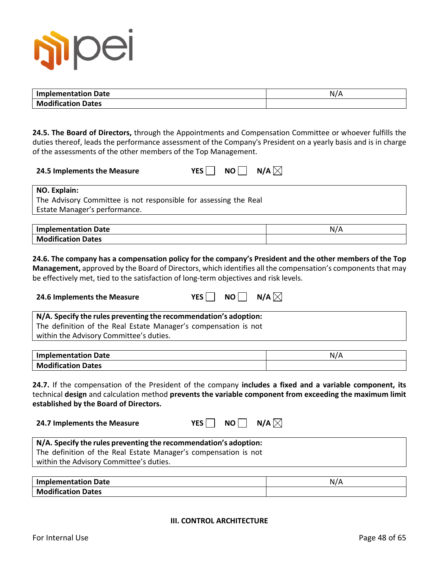

| <b>Implementation Date</b> | $N_L$ |
|----------------------------|-------|
| <b>Modification Dates</b>  |       |

**24.5. The Board of Directors,** through the Appointments and Compensation Committee or whoever fulfills the duties thereof, leads the performance assessment of the Company's President on a yearly basis and is in charge of the assessments of the other members of the Top Management.

| 24.5 Implements the Measure |  | YES $\Box$ NO $\Box$ N/A $\boxtimes$ |
|-----------------------------|--|--------------------------------------|
|-----------------------------|--|--------------------------------------|

**NO. Explain:**

The Advisory Committee is not responsible for assessing the Real Estate Manager's performance.

| <b>Implementation Date</b> | N/A |
|----------------------------|-----|
| <b>Modification Dates</b>  |     |

#### **24.6. The company has a compensation policy for the company's President and the other members of the Top**

**Management,** approved by the Board of Directors, which identifies all the compensation's components that may be effectively met, tied to the satisfaction of long-term objectives and risk levels.

| YES $\Box$ NO $\Box$ N/A $\boxtimes$<br>24.6 Implements the Measure |  |  |
|---------------------------------------------------------------------|--|--|
|---------------------------------------------------------------------|--|--|

| N/A. Specify the rules preventing the recommendation's adoption: |  |  |  |
|------------------------------------------------------------------|--|--|--|
| The definition of the Real Estate Manager's compensation is not  |  |  |  |
| within the Advisory Committee's duties.                          |  |  |  |

| <b>Implementation Date</b> | N/A |
|----------------------------|-----|
| <b>Modification Dates</b>  |     |

**24.7.** If the compensation of the President of the company **includes a fixed and a variable component, its** technical **design** and calculation method **prevents the variable component from exceeding the maximum limit established by the Board of Directors.**

**24.7 Implements the Measure** 

| <b>YES</b> |  | NO |  | N/A $\boxtimes$ |  |
|------------|--|----|--|-----------------|--|
|------------|--|----|--|-----------------|--|

| N/A. Specify the rules preventing the recommendation's adoption: |  |
|------------------------------------------------------------------|--|
| The definition of the Real Estate Manager's compensation is not  |  |
| within the Advisory Committee's duties.                          |  |
|                                                                  |  |

| <b>Implementation Date</b> | N, |
|----------------------------|----|
| <b>Modification Dates</b>  |    |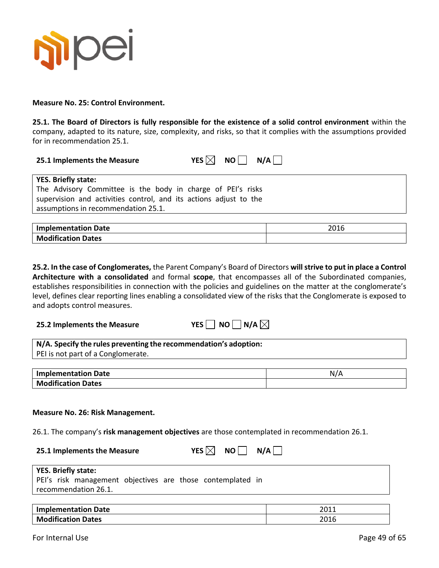

**Measure No. 25: Control Environment.**

**25.1. The Board of Directors is fully responsible for the existence of a solid control environment** within the company, adapted to its nature, size, complexity, and risks, so that it complies with the assumptions provided for in recommendation 25.1.

| 25.1 Implements the Measure | YES $\boxtimes$ NO $\Box$ N/A |  |  |
|-----------------------------|-------------------------------|--|--|
|-----------------------------|-------------------------------|--|--|

| YES. Briefly state:                                               |
|-------------------------------------------------------------------|
| The Advisory Committee is the body in charge of PEI's risks       |
| supervision and activities control, and its actions adjust to the |
| assumptions in recommendation 25.1.                               |

| plementation Date<br><b>Impl</b> | 2016 |
|----------------------------------|------|
| <b>Modification Dates</b>        |      |

**25.2. In the case of Conglomerates,** the Parent Company's Board of Directors **will strive to put in place a Control Architecture with a consolidated** and formal **scope**, that encompasses all of the Subordinated companies, establishes responsibilities in connection with the policies and guidelines on the matter at the conglomerate's level, defines clear reporting lines enabling a consolidated view of the risks that the Conglomerate is exposed to and adopts control measures.

**25.2 Implements the Measure Constraints** YI

|  | NO. | $ N/A \times$ |
|--|-----|---------------|
|--|-----|---------------|

| N/A. Specify the rules preventing the recommendation's adoption: |  |
|------------------------------------------------------------------|--|
| PEI is not part of a Conglomerate.                               |  |

| <b>Implementation Date</b> | N. |
|----------------------------|----|
| <b>Modification Dates</b>  |    |

#### **Measure No. 26: Risk Management.**

26.1. The company's **risk management objectives** are those contemplated in recommendation 26.1.

| 25.1 Implements the Measure |  | YES $\boxtimes$ NO $\Box$ N/A $\Box$ |
|-----------------------------|--|--------------------------------------|
|                             |  |                                      |

| <b>YES. Briefly state:</b>                                 |
|------------------------------------------------------------|
| PEI's risk management objectives are those contemplated in |
| recommendation 26.1.                                       |
|                                                            |

| <b>Implementation Date</b> | <b>0011</b><br>∠∪⊥⊥ |
|----------------------------|---------------------|
| <b>Modification Dates</b>  | 2015<br>2016        |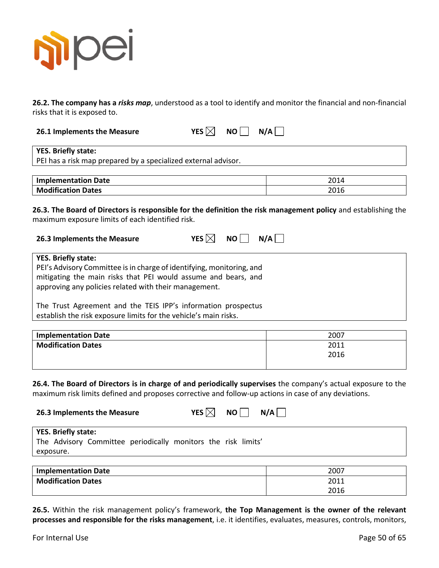

**26.2. The company has a** *risks map*, understood as a tool to identify and monitor the financial and non-financial risks that it is exposed to.

**26.1 Implements the Measure YES**  $\boxtimes$  **NO N/A** 

**YES. Briefly state:** PEI has a risk map prepared by a specialized external advisor.

| <b>Implementation Date</b> | 2014 |
|----------------------------|------|
| <b>Modification Dates</b>  | 2016 |
|                            |      |

**26.3. The Board of Directors is responsible for the definition the risk management policy** and establishing the maximum exposure limits of each identified risk.

| 26.3 Implements the Measure | YES $\boxtimes$ NO $\Box$ N/A |  |
|-----------------------------|-------------------------------|--|
|                             |                               |  |

| <b>YES. Briefly state:</b>                                            |
|-----------------------------------------------------------------------|
| PEI's Advisory Committee is in charge of identifying, monitoring, and |
| mitigating the main risks that PEI would assume and bears, and        |
| approving any policies related with their management.                 |
|                                                                       |
| The Trust Agreement and the TEIS IPP's information prospectus         |
|                                                                       |
| establish the risk exposure limits for the vehicle's main risks.      |

| <b>Implementation Date</b> | 2007 |
|----------------------------|------|
| <b>Modification Dates</b>  | 2011 |
|                            | 2016 |
|                            |      |

**26.4. The Board of Directors is in charge of and periodically supervises** the company's actual exposure to the maximum risk limits defined and proposes corrective and follow-up actions in case of any deviations.

| 26.3 Implements the Measure                                                                              | YES $\boxtimes$ | NO I | N/A |      |
|----------------------------------------------------------------------------------------------------------|-----------------|------|-----|------|
| <b>YES. Briefly state:</b><br>The Advisory Committee periodically monitors the risk limits'<br>exposure. |                 |      |     |      |
| <b>Implementation Date</b>                                                                               |                 |      |     | 2007 |

| <b>Implementation Date</b> | 2007 |
|----------------------------|------|
| <b>Modification Dates</b>  | 2011 |
|                            | 2016 |
|                            |      |

**26.5.** Within the risk management policy's framework, **the Top Management is the owner of the relevant processes and responsible for the risks management**, i.e. it identifies, evaluates, measures, controls, monitors,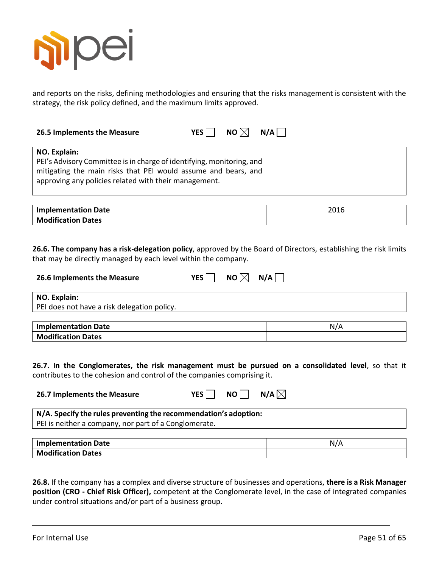

and reports on the risks, defining methodologies and ensuring that the risks management is consistent with the strategy, the risk policy defined, and the maximum limits approved.

| 2016<br>26.6. The company has a risk-delegation policy, approved by the Board of Directors, establishing the risk limits |
|--------------------------------------------------------------------------------------------------------------------------|
|                                                                                                                          |
|                                                                                                                          |
|                                                                                                                          |
|                                                                                                                          |
|                                                                                                                          |
|                                                                                                                          |
|                                                                                                                          |
| N/A                                                                                                                      |
|                                                                                                                          |
|                                                                                                                          |
|                                                                                                                          |

**N/A. Specify the rules preventing the recommendation's adoption:** PEI is neither a company, nor part of a Conglomerate.

| <b>Implementation Date</b> | N. |
|----------------------------|----|
| <b>Modification Dates</b>  |    |

**26.8.** If the company has a complex and diverse structure of businesses and operations, **there is a Risk Manager position (CRO - Chief Risk Officer),** competent at the Conglomerate level, in the case of integrated companies under control situations and/or part of a business group.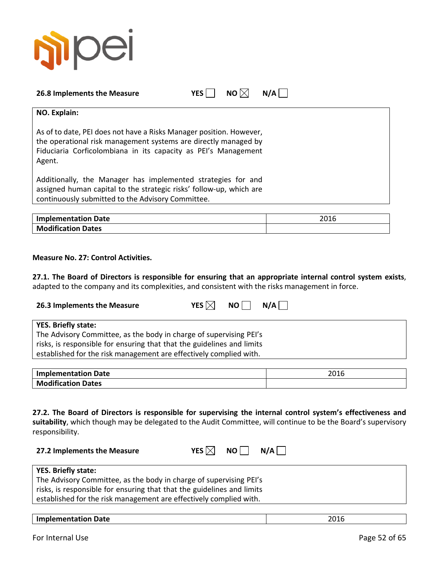

| 26.8 Implements the Measure | YES I | NO $\boxtimes$ N/A $\parallel$ |  |
|-----------------------------|-------|--------------------------------|--|
|                             |       |                                |  |

**NO. Explain:**

As of to date, PEI does not have a Risks Manager position. However, the operational risk management systems are directly managed by Fiduciaria Corficolombiana in its capacity as PEI's Management Agent.

Additionally, the Manager has implemented strategies for and assigned human capital to the strategic risks' follow-up, which are continuously submitted to the Advisory Committee.

| <b>Implementation Date</b> | 2016 |
|----------------------------|------|
| <b>Modification Dates</b>  |      |

#### **Measure No. 27: Control Activities.**

**27.1. The Board of Directors is responsible for ensuring that an appropriate internal control system exists**, adapted to the company and its complexities, and consistent with the risks management in force.

| 26.3 Implements the Measure                                                                                                                                                                                                                      | N/A<br>YES $\boxtimes$<br>NO I |
|--------------------------------------------------------------------------------------------------------------------------------------------------------------------------------------------------------------------------------------------------|--------------------------------|
| <b>YES. Briefly state:</b><br>The Advisory Committee, as the body in charge of supervising PEI's<br>risks, is responsible for ensuring that that the guidelines and limits<br>established for the risk management are effectively complied with. |                                |

| <b>Implementation Date</b> | ว∩1 C |
|----------------------------|-------|
| <b>Modification Dates</b>  |       |

**27.2. The Board of Directors is responsible for supervising the internal control system's effectiveness and suitability**, which though may be delegated to the Audit Committee, will continue to be the Board's supervisory responsibility.

| 27.2 Implements the Measure |  |  | YES $\boxtimes$ NO $\Box$ N/A $\Box$ |
|-----------------------------|--|--|--------------------------------------|
|-----------------------------|--|--|--------------------------------------|

| <b>YES. Briefly state:</b>                                             |  |
|------------------------------------------------------------------------|--|
| The Advisory Committee, as the body in charge of supervising PEI's     |  |
| risks, is responsible for ensuring that that the guidelines and limits |  |
| established for the risk management are effectively complied with.     |  |
|                                                                        |  |

| Implementation Date | 2045<br>ZUI0 |
|---------------------|--------------|
|                     |              |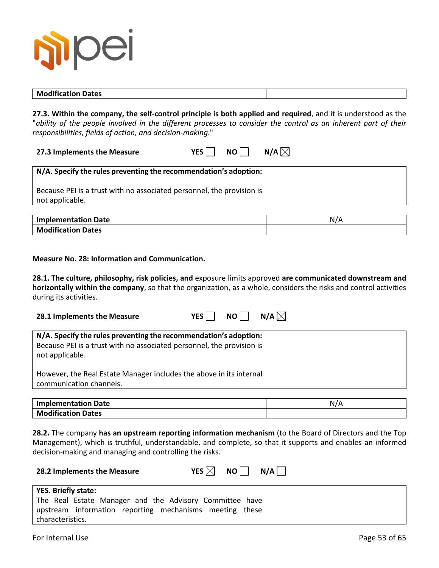

#### **Modification Dates**

**27.3. Within the company, the self-control principle is both applied and required**, and it is understood as the "*ability of the people involved in the different processes to consider the control as an inherent part of their responsibilities, fields of action, and decision-making*."

**27.3 Implements the Measure**  $YES \cap NO \cap N/A$ 

#### **N/A. Specify the rules preventing the recommendation's adoption:**

Because PEI is a trust with no associated personnel, the provision is not applicable.

| <b>Implementation Date</b> | N |
|----------------------------|---|
| <b>Modification Dates</b>  |   |

**Measure No. 28: Information and Communication.**

**28.1. The culture, philosophy, risk policies, and** exposure limits approved **are communicated downstream and horizontally within the company**, so that the organization, as a whole, considers the risks and control activities during its activities.

| 28.1 Implements the Measure                                                                                                                                  | <b>YES</b> | NO L | N/A $\boxtimes$ |
|--------------------------------------------------------------------------------------------------------------------------------------------------------------|------------|------|-----------------|
| N/A. Specify the rules preventing the recommendation's adoption:<br>Because PEI is a trust with no associated personnel, the provision is<br>not applicable. |            |      |                 |
| However, the Real Estate Manager includes the above in its internal<br>communication channels.                                                               |            |      |                 |

| Implementation Date       | $\sqrt{ }$<br>N. |
|---------------------------|------------------|
| <b>Modification Dates</b> |                  |

**28.2.** The company **has an upstream reporting information mechanism** (to the Board of Directors and the Top Management), which is truthful, understandable, and complete, so that it supports and enables an informed decision-making and managing and controlling the risks.

| 28.2 Implements the Measure                             | YES $\boxtimes$<br>NO II<br>$N/A$ |
|---------------------------------------------------------|-----------------------------------|
| <b>YES. Briefly state:</b>                              |                                   |
| The Real Estate Manager and the Advisory Committee have |                                   |
| upstream information reporting mechanisms meeting these |                                   |
| characteristics.                                        |                                   |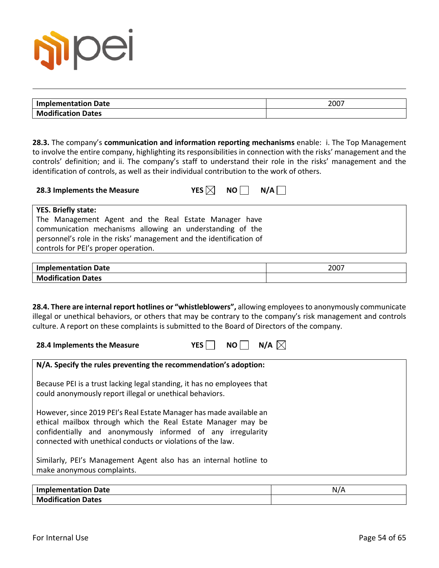

| <b>Implementation Date</b> | 2007 |
|----------------------------|------|
| <b>Modification Dates</b>  |      |

**28.3.** The company's **communication and information reporting mechanisms** enable: i. The Top Management to involve the entire company, highlighting its responsibilities in connection with the risks' management and the controls' definition; and ii. The company's staff to understand their role in the risks' management and the identification of controls, as well as their individual contribution to the work of others.

| 28.3 Implements the Measure | YES $\times$ NO $\Box$ | N/A |  |
|-----------------------------|------------------------|-----|--|
| VFS Rriefly state:          |                        |     |  |

| . . בטי הורחות אמרי                                                 |
|---------------------------------------------------------------------|
| The Management Agent and the Real Estate Manager have               |
| communication mechanisms allowing an understanding of the           |
| personnel's role in the risks' management and the identification of |
| controls for PEI's proper operation.                                |

| <b>Implementation Date</b> | 2007 |
|----------------------------|------|
| <b>Modification Dates</b>  |      |

**28.4. There are internal report hotlines or "whistleblowers",** allowing employees to anonymously communicate illegal or unethical behaviors, or others that may be contrary to the company's risk management and controls culture. A report on these complaints is submitted to the Board of Directors of the company.



| N/A. Specify the rules preventing the recommendation's adoption:                                                                                                                                                                                                  |
|-------------------------------------------------------------------------------------------------------------------------------------------------------------------------------------------------------------------------------------------------------------------|
| Because PEI is a trust lacking legal standing, it has no employees that<br>could anonymously report illegal or unethical behaviors.                                                                                                                               |
| However, since 2019 PEI's Real Estate Manager has made available an<br>ethical mailbox through which the Real Estate Manager may be<br>confidentially and anonymously informed of any irregularity<br>connected with unethical conducts or violations of the law. |
| Similarly, PEI's Management Agent also has an internal hotline to<br>make anonymous complaints.                                                                                                                                                                   |

| <b>Implementation Date</b>            | $N_{\ell}$ |
|---------------------------------------|------------|
| $\cdots$<br><b>Modification Dates</b> |            |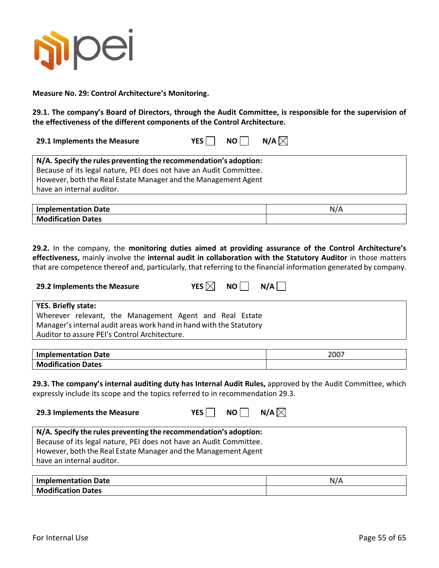

**Measure No. 29: Control Architecture's Monitoring.**

**29.1. The company's Board of Directors, through the Audit Committee, is responsible for the supervision of the effectiveness of the different components of the Control Architecture.**

| 29.1 Implements the Measure |  |  | YES NO N/A $\boxtimes$ |
|-----------------------------|--|--|------------------------|
|-----------------------------|--|--|------------------------|

| N/A. Specify the rules preventing the recommendation's adoption:   |  |
|--------------------------------------------------------------------|--|
| Because of its legal nature, PEI does not have an Audit Committee. |  |
| However, both the Real Estate Manager and the Management Agent     |  |
| have an internal auditor.                                          |  |
|                                                                    |  |

| <b>Implementation Date</b> | N/A |
|----------------------------|-----|
| <b>Modification Dates</b>  |     |

**29.2.** In the company, the **monitoring duties aimed at providing assurance of the Control Architecture's effectiveness,** mainly involve the **internal audit in collaboration with the Statutory Auditor** in those matters that are competence thereof and, particularly, that referring to the financial information generated by company.

| 29.2 Implements the Measure |  |                                                         |  |  | YES $\boxtimes$ NO $\parallel$ N/A $\parallel$ |
|-----------------------------|--|---------------------------------------------------------|--|--|------------------------------------------------|
| <b>YES. Briefly state:</b>  |  |                                                         |  |  |                                                |
|                             |  | Wherever relevant, the Management Agent and Real Estate |  |  |                                                |

Manager's internal audit areas work hand in hand with the Statutory Auditor to assure PEI's Control Architecture.

| <b>Implementation Date</b> | 2007 |
|----------------------------|------|
| <b>Modification Dates</b>  |      |

**29.3. The company's internal auditing duty has Internal Audit Rules,** approved by the Audit Committee, which expressly include its scope and the topics referred to in recommendation 29.3.

| 29.3 Implements the Measure                                       | YES I I | $NO$   $N/A$ $\times$ |  |
|-------------------------------------------------------------------|---------|-----------------------|--|
| N/A. Specify the rules preventing the recommendation's adoption:  |         |                       |  |
| Because of its legal nature. PEL does not have an Audit Committee |         |                       |  |

| Because of its legal nature, PEI does not have an Audit Committee. |
|--------------------------------------------------------------------|
| However, both the Real Estate Manager and the Management Agent     |
| have an internal auditor.                                          |
|                                                                    |

| <b>Implementation Date</b>    |  |
|-------------------------------|--|
| Modification.<br><b>Dates</b> |  |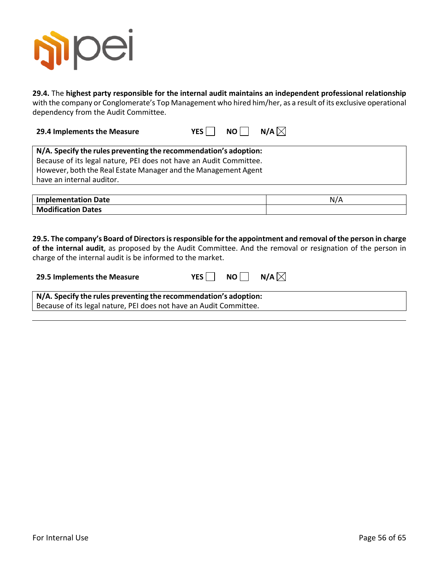

**29.4.** The **highest party responsible for the internal audit maintains an independent professional relationship** with the company or Conglomerate's Top Management who hired him/her, as a result of its exclusive operational dependency from the Audit Committee.

**N/A. Specify the rules preventing the recommendation's adoption:** Because of its legal nature, PEI does not have an Audit Committee. However, both the Real Estate Manager and the Management Agent have an internal auditor.

| <b>Implementation Date</b> | N/A |
|----------------------------|-----|
| <b>Modification Dates</b>  |     |

**29.5. The company's Board of Directors is responsible for the appointment and removal of the person in charge of the internal audit**, as proposed by the Audit Committee. And the removal or resignation of the person in

charge of the internal audit is be informed to the market.

**29.4 Implements the Measure**  $YES \bigcap NO \bigcap N/A$ 

| 29.5 Implements the Measure                                                                                                            | YES I | NO II | N/A $\boxtimes$ |  |
|----------------------------------------------------------------------------------------------------------------------------------------|-------|-------|-----------------|--|
| N/A. Specify the rules preventing the recommendation's adoption:<br>Because of its legal nature, PEI does not have an Audit Committee. |       |       |                 |  |
|                                                                                                                                        |       |       |                 |  |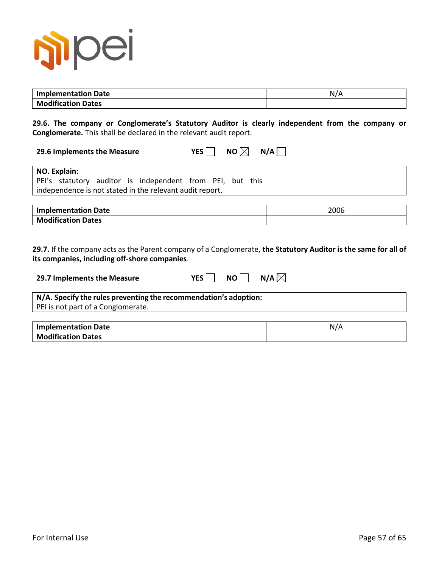

| <b>Implementation Date</b> | N/A |
|----------------------------|-----|
| <b>Modification Dates</b>  |     |

**29.6. The company or Conglomerate's Statutory Auditor is clearly independent from the company or Conglomerate.** This shall be declared in the relevant audit report.

| 29.6 Implements the Measure |  |  | YES $\Box$ NO $\boxtimes$ N/A $\Box$ |
|-----------------------------|--|--|--------------------------------------|
|-----------------------------|--|--|--------------------------------------|

| NO. Explain:                                              |  |
|-----------------------------------------------------------|--|
| PEI's statutory auditor is independent from PEI, but this |  |
| independence is not stated in the relevant audit report.  |  |

| <b>Implementation Date</b> | 2006 |
|----------------------------|------|
| <b>Modification Dates</b>  |      |

**29.7.** If the company acts as the Parent company of a Conglomerate, **the Statutory Auditor is the same for all of its companies, including off-shore companies**.

| 29.7 Implements the Measure                                      | <b>YES</b><br>NO II | N/A $\boxtimes$ |
|------------------------------------------------------------------|---------------------|-----------------|
| N/A. Specify the rules preventing the recommendation's adoption: |                     |                 |
| PEI is not part of a Conglomerate.                               |                     |                 |
|                                                                  |                     |                 |
| <b>Implementation Date</b>                                       |                     | N/A             |
| <b>Modification Dates</b>                                        |                     |                 |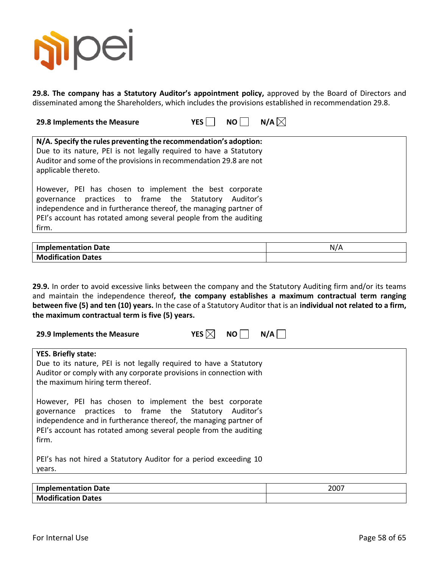

**29.8. The company has a Statutory Auditor's appointment policy,** approved by the Board of Directors and disseminated among the Shareholders, which includes the provisions established in recommendation 29.8.

| 29.8 Implements the Measure | YES NO N/A $\boxtimes$ |  |
|-----------------------------|------------------------|--|
|                             |                        |  |

| N/A. Specify the rules preventing the recommendation's adoption:                                                                                                                                                                                                  |
|-------------------------------------------------------------------------------------------------------------------------------------------------------------------------------------------------------------------------------------------------------------------|
| Due to its nature, PEI is not legally required to have a Statutory<br>Auditor and some of the provisions in recommendation 29.8 are not<br>applicable thereto.                                                                                                    |
| However, PEI has chosen to implement the best corporate<br>governance practices to frame the Statutory Auditor's<br>independence and in furtherance thereof, the managing partner of<br>PEI's account has rotated among several people from the auditing<br>firm. |

| plementation Date<br>Imn  | N. |
|---------------------------|----|
| <b>Modification Dates</b> |    |

**29.9.** In order to avoid excessive links between the company and the Statutory Auditing firm and/or its teams and maintain the independence thereof**, the company establishes a maximum contractual term ranging between five (5) and ten (10) years.** In the case of a Statutory Auditor that is an **individual not related to a firm, the maximum contractual term is five (5) years.**

| YES $ \times $<br>N/A<br>NO  <br>29.9 Implements the Measure                                                                                                                                                                                                         |
|----------------------------------------------------------------------------------------------------------------------------------------------------------------------------------------------------------------------------------------------------------------------|
| <b>YES. Briefly state:</b>                                                                                                                                                                                                                                           |
| Due to its nature, PEI is not legally required to have a Statutory<br>Auditor or comply with any corporate provisions in connection with<br>the maximum hiring term thereof.                                                                                         |
| However, PEI has chosen to implement the best corporate<br>practices to frame the Statutory Auditor's<br>governance<br>independence and in furtherance thereof, the managing partner of<br>PEI's account has rotated among several people from the auditing<br>firm. |
| PEI's has not hired a Statutory Auditor for a period exceeding 10                                                                                                                                                                                                    |

**Implementation Date** 2007 **Modification Dates**

years.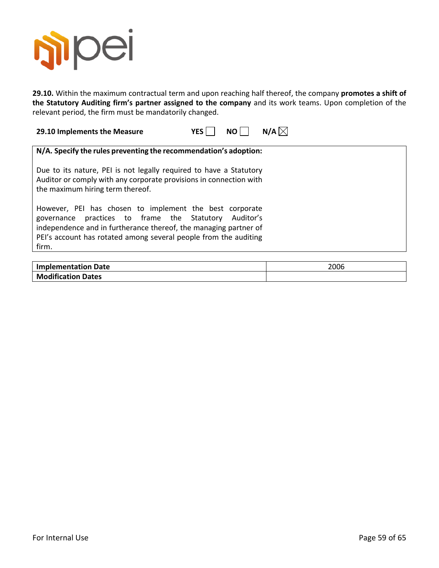

**29.10.** Within the maximum contractual term and upon reaching half thereof, the company **promotes a shift of the Statutory Auditing firm's partner assigned to the company** and its work teams. Upon completion of the relevant period, the firm must be mandatorily changed.

**29.10 Implements the Measure**  $YES$  **NO N/A** $\boxtimes$ 

| N/A. Specify the rules preventing the recommendation's adoption:                                                                                                                                                                                                     |
|----------------------------------------------------------------------------------------------------------------------------------------------------------------------------------------------------------------------------------------------------------------------|
| Due to its nature, PEI is not legally required to have a Statutory<br>Auditor or comply with any corporate provisions in connection with<br>the maximum hiring term thereof.                                                                                         |
| However, PEI has chosen to implement the best corporate<br>practices to frame the Statutory Auditor's<br>governance<br>independence and in furtherance thereof, the managing partner of<br>PEI's account has rotated among several people from the auditing<br>firm. |

| <b>Implementation Date</b> | 2006 |
|----------------------------|------|
| <b>Modification Dates</b>  |      |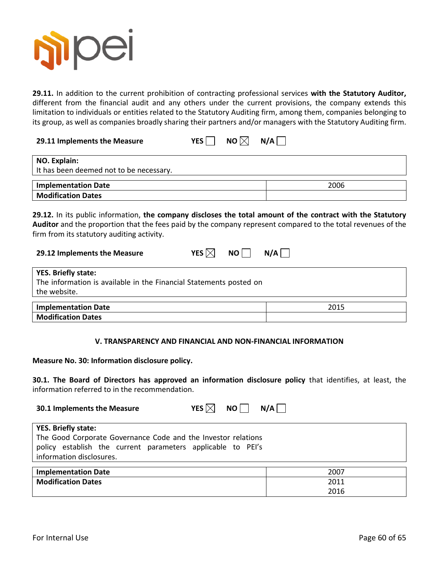

**29.11.** In addition to the current prohibition of contracting professional services **with the Statutory Auditor,** different from the financial audit and any others under the current provisions, the company extends this limitation to individuals or entities related to the Statutory Auditing firm, among them, companies belonging to its group, as well as companies broadly sharing their partners and/or managers with the Statutory Auditing firm.

**29.11 Implements the Measure**  $YES \bigcap NO \bigtimes N/A \bigcap$ 

| NO. Explain:<br>It has been deemed not to be necessary. |      |
|---------------------------------------------------------|------|
| <b>Implementation Date</b>                              | 2006 |
| <b>Modification Dates</b>                               |      |

**29.12.** In its public information, **the company discloses the total amount of the contract with the Statutory Auditor** and the proportion that the fees paid by the company represent compared to the total revenues of the firm from its statutory auditing activity.

| YES $\boxtimes$ | NO <sub>1</sub> | N/A |
|-----------------|-----------------|-----|
|-----------------|-----------------|-----|

| YES. Briefly state:                                                |       |  |
|--------------------------------------------------------------------|-------|--|
| The information is available in the Financial Statements posted on |       |  |
| the website.                                                       |       |  |
|                                                                    |       |  |
| l Imnlamantation Datal                                             | วกา ร |  |

| Implementation Date       | 2015 |
|---------------------------|------|
| <b>Modification Dates</b> |      |

#### **V. TRANSPARENCY AND FINANCIAL AND NON-FINANCIAL INFORMATION**

**Measure No. 30: Information disclosure policy.**

**30.1. The Board of Directors has approved an information disclosure policy** that identifies, at least, the information referred to in the recommendation.

| YES $\times$<br>NO I<br>30.1 Implements the Measure                                                                                                                                    | N/A  |
|----------------------------------------------------------------------------------------------------------------------------------------------------------------------------------------|------|
| <b>YES. Briefly state:</b><br>The Good Corporate Governance Code and the Investor relations<br>policy establish the current parameters applicable to PEI's<br>information disclosures. |      |
| <b>Implementation Date</b>                                                                                                                                                             | 2007 |
| <b>Modification Dates</b>                                                                                                                                                              | 2011 |
|                                                                                                                                                                                        | 2016 |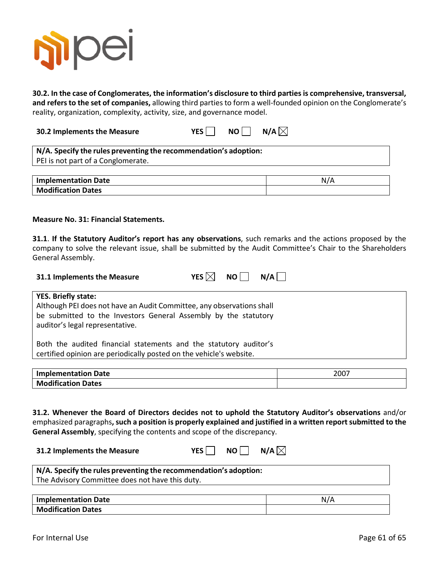

**30.2. In the case of Conglomerates, the information's disclosure to third parties is comprehensive, transversal, and refers to the set of companies,** allowing third parties to form a well-founded opinion on the Conglomerate's reality, organization, complexity, activity, size, and governance model.

**30.2 Implements the Measure**  $YES \cap NO \cap N/A$ 

| N/A. Specify the rules preventing the recommendation's adoption: |  |
|------------------------------------------------------------------|--|
| PEI is not part of a Conglomerate.                               |  |
|                                                                  |  |

| <b>Implementation Date</b> | N7A |
|----------------------------|-----|
| <b>Modification Dates</b>  |     |

#### **Measure No. 31: Financial Statements.**

**31.1**. **If the Statutory Auditor's report has any observations**, such remarks and the actions proposed by the company to solve the relevant issue, shall be submitted by the Audit Committee's Chair to the Shareholders General Assembly.

| 31.1 Implements the Measure | YES $\boxtimes$ NO N/A |  |
|-----------------------------|------------------------|--|
|                             |                        |  |

**YES. Briefly state:** Although PEI does not have an Audit Committee, any observations shall be submitted to the Investors General Assembly by the statutory auditor's legal representative. Both the audited financial statements and the statutory auditor's

certified opinion are periodically posted on the vehicle's website.

| <b>Implementation Date</b> | 2007 |
|----------------------------|------|
| <b>Modification Dates</b>  |      |

**31.2. Whenever the Board of Directors decides not to uphold the Statutory Auditor's observations** and/or emphasized paragraphs**, such a position is properly explained and justified in a written report submitted to the General Assembly**, specifying the contents and scope of the discrepancy.

| N/A. Specify the rules preventing the recommendation's adoption: |  |
|------------------------------------------------------------------|--|

**YES** NO N/A $\boxtimes$ 

The Advisory Committee does not have this duty.

| <b>Implementation Date</b> | $N$ /, |
|----------------------------|--------|
| <b>Modification Dates</b>  |        |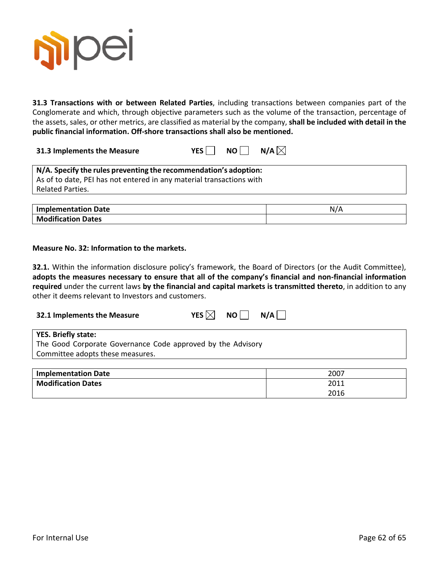

**31.3 Transactions with or between Related Parties**, including transactions between companies part of the Conglomerate and which, through objective parameters such as the volume of the transaction, percentage of the assets, sales, or other metrics, are classified as material by the company, **shall be included with detail in the public financial information. Off-shore transactions shall also be mentioned.**

**31.3** Implements the Measure YES NO N/A $\boxtimes$ 

| N/A. Specify the rules preventing the recommendation's adoption:     |
|----------------------------------------------------------------------|
| As of to date, PEI has not entered in any material transactions with |
| Related Parties.                                                     |
|                                                                      |

| <b>Implementation Date</b> | N/A |
|----------------------------|-----|
| <b>Modification Dates</b>  |     |

#### **Measure No. 32: Information to the markets.**

**32.1.** Within the information disclosure policy's framework, the Board of Directors (or the Audit Committee), **adopts the measures necessary to ensure that all of the company's financial and non-financial information required** under the current laws **by the financial and capital markets is transmitted thereto**, in addition to any other it deems relevant to Investors and customers.

| 32.1 Implements the Measure                                                        | YES $ \times $ | $NO$ $\vert$ | N/A |
|------------------------------------------------------------------------------------|----------------|--------------|-----|
| YES. Briefly state:<br>The Good Corporate Governance Code approved by the Advisory |                |              |     |
| Committee adopts these measures.                                                   |                |              |     |
|                                                                                    |                |              |     |

| <b>Implementation Date</b> | 2007 |
|----------------------------|------|
| <b>Modification Dates</b>  | 2011 |
|                            | 2016 |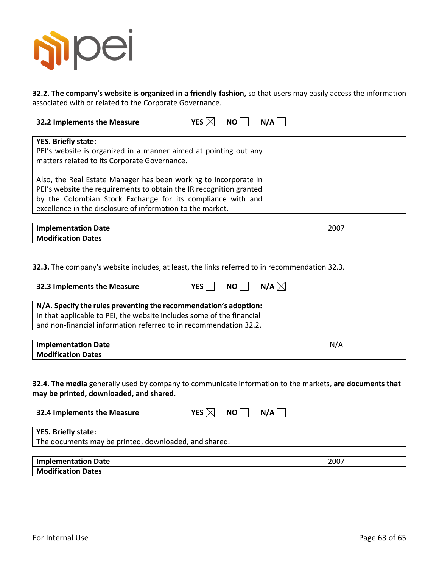

**32.2. The company's website is organized in a friendly fashion,** so that users may easily access the information associated with or related to the Corporate Governance.

| 32.2 Implements the Measure                                         | YES $\boxtimes$<br>N/A<br><b>NO</b> |  |
|---------------------------------------------------------------------|-------------------------------------|--|
|                                                                     |                                     |  |
| <b>YES. Briefly state:</b>                                          |                                     |  |
| PEI's website is organized in a manner aimed at pointing out any    |                                     |  |
| matters related to its Corporate Governance.                        |                                     |  |
|                                                                     |                                     |  |
| Also, the Real Estate Manager has been working to incorporate in    |                                     |  |
| PEI's website the requirements to obtain the IR recognition granted |                                     |  |
| by the Colombian Stock Exchange for its compliance with and         |                                     |  |
| excellence in the disclosure of information to the market.          |                                     |  |

| <b>Implementation Date</b> | 2007 |
|----------------------------|------|
| <b>Modification Dates</b>  |      |
|                            |      |

**32.3.** The company's website includes, at least, the links referred to in recommendation 32.3.

| 32.3 Implements the Measure                                                                                                                                                                                    | <b>YES</b><br><b>NO</b> | N/A $\boxtimes$ |
|----------------------------------------------------------------------------------------------------------------------------------------------------------------------------------------------------------------|-------------------------|-----------------|
| N/A. Specify the rules preventing the recommendation's adoption:<br>In that applicable to PEI, the website includes some of the financial<br>and non-financial information referred to in recommendation 32.2. |                         |                 |
| Implanacutation Dota                                                                                                                                                                                           |                         | $N1/\Lambda$    |

**Implementation Date** Note 2008 and 2008 and 2008 and 2008 and 2008 and 2008 and 2008 and 2008 and 2008 and 2008 and 2008 and 2008 and 2008 and 2008 and 2008 and 2008 and 2008 and 2008 and 2008 and 2008 and 2008 and 2008 a **Modification Dates**

**32.4. The media** generally used by company to communicate information to the markets, **are documents that may be printed, downloaded, and shared**.

| 32.4 Implements the Measure                           | YES $\boxtimes$<br>NO I | N/A |
|-------------------------------------------------------|-------------------------|-----|
| YES. Briefly state:                                   |                         |     |
| The documents may be printed, downloaded, and shared. |                         |     |

| Implementation Date       | 2007 |
|---------------------------|------|
| <b>Modification Dates</b> |      |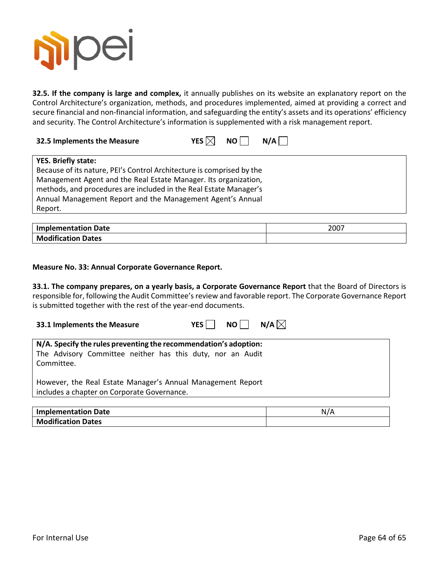

**32.5. If the company is large and complex,** it annually publishes on its website an explanatory report on the Control Architecture's organization, methods, and procedures implemented, aimed at providing a correct and secure financial and non-financial information, and safeguarding the entity's assets and its operations' efficiency and security. The Control Architecture's information is supplemented with a risk management report.

| 32.5 Implements the Measure |  |  | YES $\boxtimes$ NO $\Box$ N/A $\Box$ |
|-----------------------------|--|--|--------------------------------------|
|-----------------------------|--|--|--------------------------------------|

| <b>YES. Briefly state:</b>                                            |
|-----------------------------------------------------------------------|
| Because of its nature, PEI's Control Architecture is comprised by the |
| Management Agent and the Real Estate Manager. Its organization,       |
| methods, and procedures are included in the Real Estate Manager's     |
| Annual Management Report and the Management Agent's Annual            |
| Report.                                                               |

| <b>Implementation Date</b> | 2007 |
|----------------------------|------|
| <b>Modification Dates</b>  |      |

#### **Measure No. 33: Annual Corporate Governance Report.**

**33.1. The company prepares, on a yearly basis, a Corporate Governance Report** that the Board of Directors is responsible for, following the Audit Committee's review and favorable report. The Corporate Governance Report is submitted together with the rest of the year-end documents.

| 33.1 Implements the Measure | YES $\Box$ NO $\Box$ N/A $\boxtimes$ |  |  |
|-----------------------------|--------------------------------------|--|--|
|-----------------------------|--------------------------------------|--|--|

| N/A. Specify the rules preventing the recommendation's adoption:<br>The Advisory Committee neither has this duty, nor an Audit<br>Committee. |
|----------------------------------------------------------------------------------------------------------------------------------------------|
| However, the Real Estate Manager's Annual Management Report<br>includes a chapter on Corporate Governance.                                   |

| <b>Implementation Date</b> | N, |
|----------------------------|----|
| <b>Modification Dates</b>  |    |